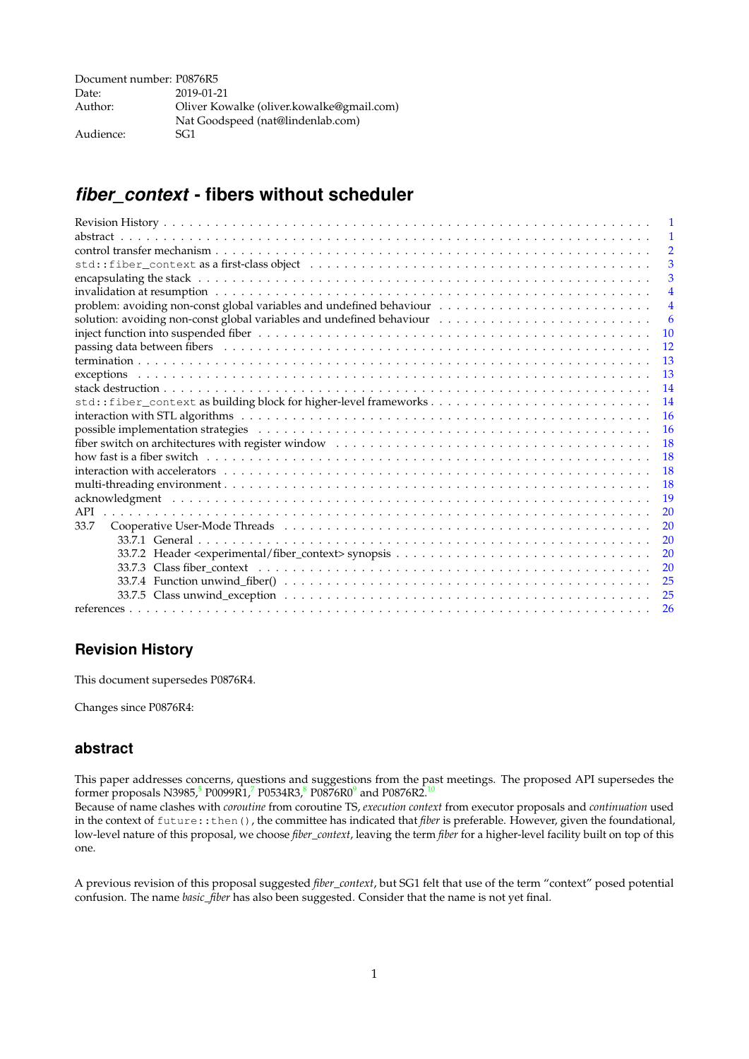| Document number: P0876R5 |                                           |
|--------------------------|-------------------------------------------|
| Date:                    | 2019-01-21                                |
| Author:                  | Oliver Kowalke (oliver.kowalke@gmail.com) |
|                          | Nat Goodspeed (nat@lindenlab.com)         |
| Audience:                | SG1                                       |

# <span id="page-0-0"></span>*fiber\_context* **- fibers without scheduler**

|                                                                                                                 | -1             |
|-----------------------------------------------------------------------------------------------------------------|----------------|
|                                                                                                                 | $\overline{2}$ |
|                                                                                                                 | 3              |
|                                                                                                                 | 3              |
|                                                                                                                 | $\overline{4}$ |
|                                                                                                                 | $\overline{4}$ |
| solution: avoiding non-const global variables and undefined behaviour                                           | -6             |
|                                                                                                                 | <b>10</b>      |
| passing data between fibers (and all contained all contained and all contained and all contained and properties | 12             |
|                                                                                                                 | -13            |
|                                                                                                                 | 13             |
|                                                                                                                 | 14             |
| std::fiber_context as building block for higher-level frameworks                                                | 14             |
|                                                                                                                 | 16             |
|                                                                                                                 | <sup>16</sup>  |
|                                                                                                                 | 18             |
|                                                                                                                 | - 18           |
|                                                                                                                 | 18             |
|                                                                                                                 | $-18$          |
|                                                                                                                 | 19             |
| API                                                                                                             | 20             |
| 33.7                                                                                                            | 20             |
|                                                                                                                 | 20             |
|                                                                                                                 | 20             |
|                                                                                                                 | 20             |
|                                                                                                                 | 25             |
|                                                                                                                 | 25             |
|                                                                                                                 | 26             |
|                                                                                                                 |                |

## <span id="page-0-1"></span>**Revision History**

This document supersedes P0876R4.

Changes since P0876R4:

## <span id="page-0-2"></span>**abstract**

This paper addresses concerns, questions and suggestions from the past meetings. The proposed API supersedes the former proposals N398[5](#page-25-0), $^5$  P00[9](#page-25-3)9R1, $^7$  $^7$  P0534R3, $^8$  $^8$  P0876R0 $^9$  and P0876R2. $^{10}$  $^{10}$  $^{10}$ 

Because of name clashes with *coroutine* from coroutine TS, *execution context* from executor proposals and *continuation* used in the context of future::then(), the committee has indicated that *fiber* is preferable. However, given the foundational, low-level nature of this proposal, we choose *fiber\_context*, leaving the term *fiber* for a higher-level facility built on top of this one.

A previous revision of this proposal suggested *fiber\_context*, but SG1 felt that use of the term "context" posed potential confusion. The name *basic\_fiber* has also been suggested. Consider that the name is not yet final.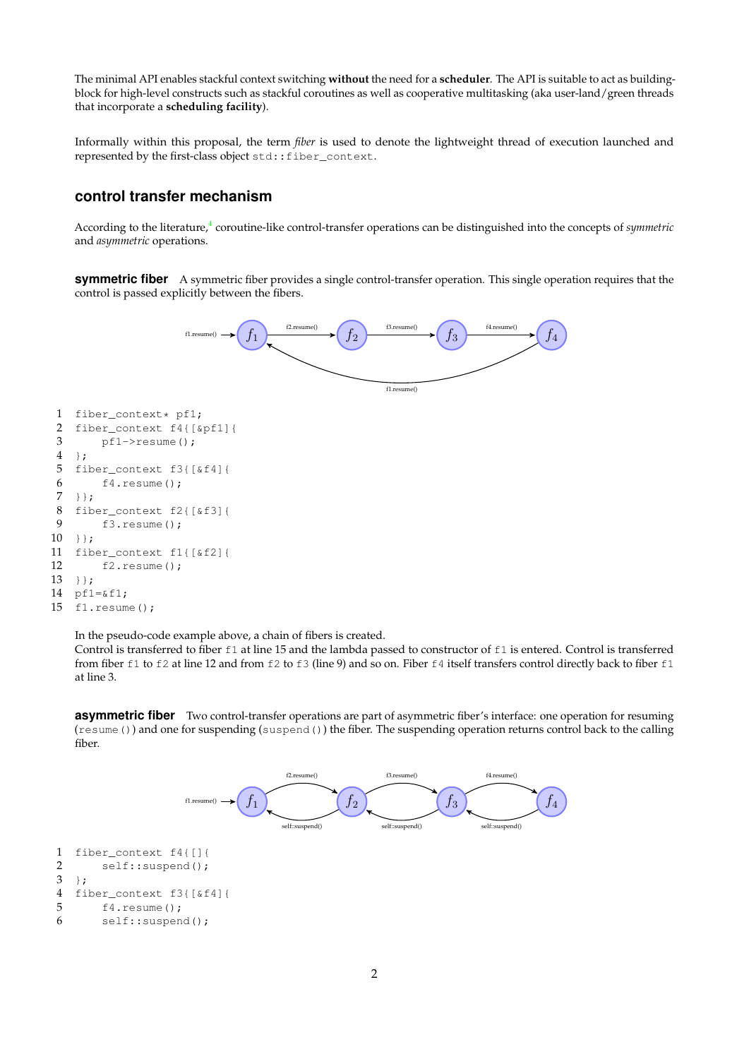The minimal API enables stackful context switching **without** the need for a **scheduler**. The API is suitable to act as buildingblock for high-level constructs such as stackful coroutines as well as cooperative multitasking (aka user-land/green threads that incorporate a **scheduling facility**).

Informally within this proposal, the term *fiber* is used to denote the lightweight thread of execution launched and represented by the first-class object std::fiber\_context.

## **control transfer mechanism**

According to the literature,<sup>[4](#page-25-5)</sup> coroutine-like control-transfer operations can be distinguished into the concepts of *symmetric* and *asymmetric* operations.

**symmetric fiber** A symmetric fiber provides a single control-transfer operation. This single operation requires that the control is passed explicitly between the fibers.



```
2 fiber_context f4{[&pf1]{
3 pf1->resume();
4 };
5 fiber_context f3{[&f4]{
6 f4.resume();
7 + }8 fiber_context f2{[&f3]{
9 f3.resume();
10 } };
11 fiber_context f1{[&f2]{
12 f2.resume();
13 + };14 pf1=&f1;
15 f1.resume();
```
In the pseudo-code example above, a chain of fibers is created.

Control is transferred to fiber f1 at line 15 and the lambda passed to constructor of f1 is entered. Control is transferred from fiber  $f1$  to  $f2$  at line 12 and from  $f2$  to  $f3$  (line 9) and so on. Fiber  $f4$  itself transfers control directly back to fiber  $f1$ at line 3.

**asymmetric fiber** Two control-transfer operations are part of asymmetric fiber's interface: one operation for resuming (resume()) and one for suspending (suspend()) the fiber. The suspending operation returns control back to the calling fiber.

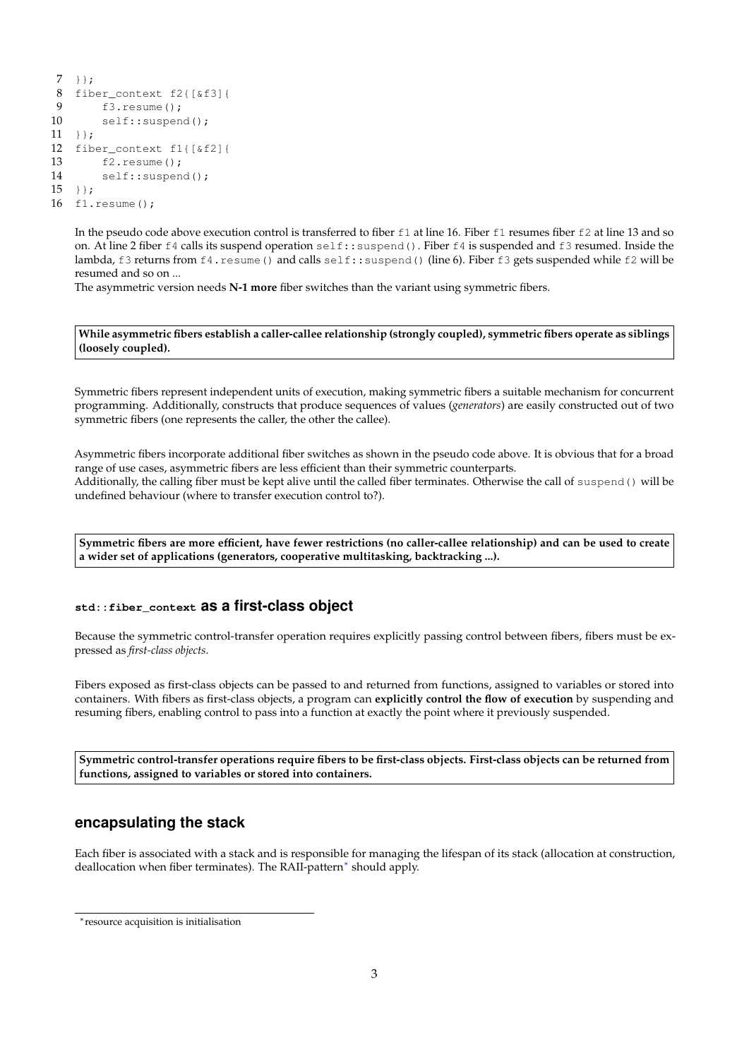```
7 + } :
8 fiber_context f2\left[\frac{\text{G}}{3}\right]<br>9 f3 resume() :
         f3.resume():
10 self::suspend();
11 + };12 fiber_context f1{[&f2]{
13 f2.resume();
14 self::suspend();
15 } };
16 f1.resume();
```
<span id="page-2-0"></span>In the pseudo code above execution control is transferred to fiber f1 at line 16. Fiber f1 resumes fiber f2 at line 13 and so on. At line 2 fiber f4 calls its suspend operation self::suspend(). Fiber f4 is suspended and f3 resumed. Inside the lambda, f3 returns from f4. resume() and calls self::suspend() (line 6). Fiber f3 gets suspended while f2 will be resumed and so on ...

The asymmetric version needs **N-1 more** fiber switches than the variant using symmetric fibers.

**While asymmetric fibers establish a caller-callee relationship (strongly coupled), symmetric fibers operate as siblings (loosely coupled).**

Symmetric fibers represent independent units of execution, making symmetric fibers a suitable mechanism for concurrent programming. Additionally, constructs that produce sequences of values (*generators*) are easily constructed out of two symmetric fibers (one represents the caller, the other the callee).

Asymmetric fibers incorporate additional fiber switches as shown in the pseudo code above. It is obvious that for a broad range of use cases, asymmetric fibers are less efficient than their symmetric counterparts. Additionally, the calling fiber must be kept alive until the called fiber terminates. Otherwise the call of suspend() will be undefined behaviour (where to transfer execution control to?).

**Symmetric fibers are more efficient, have fewer restrictions (no caller-callee relationship) and can be used to create a wider set of applications (generators, cooperative multitasking, backtracking ...).**

## <span id="page-2-1"></span>**std::fiber\_context as a first-class object**

Because the symmetric control-transfer operation requires explicitly passing control between fibers, fibers must be expressed as *first-class objects*.

Fibers exposed as first-class objects can be passed to and returned from functions, assigned to variables or stored into containers. With fibers as first-class objects, a program can **explicitly control the flow of execution** by suspending and resuming fibers, enabling control to pass into a function at exactly the point where it previously suspended.

**Symmetric control-transfer operations require fibers to be first-class objects. First-class objects can be returned from functions, assigned to variables or stored into containers.**

## <span id="page-2-2"></span>**encapsulating the stack**

Each fiber is associated with a stack and is responsible for managing the lifespan of its stack (allocation at construction, deallocation when fiber terminates). The RAII-pattern[∗](#page-2-3) should apply.

<span id="page-2-3"></span><sup>∗</sup>resource acquisition is initialisation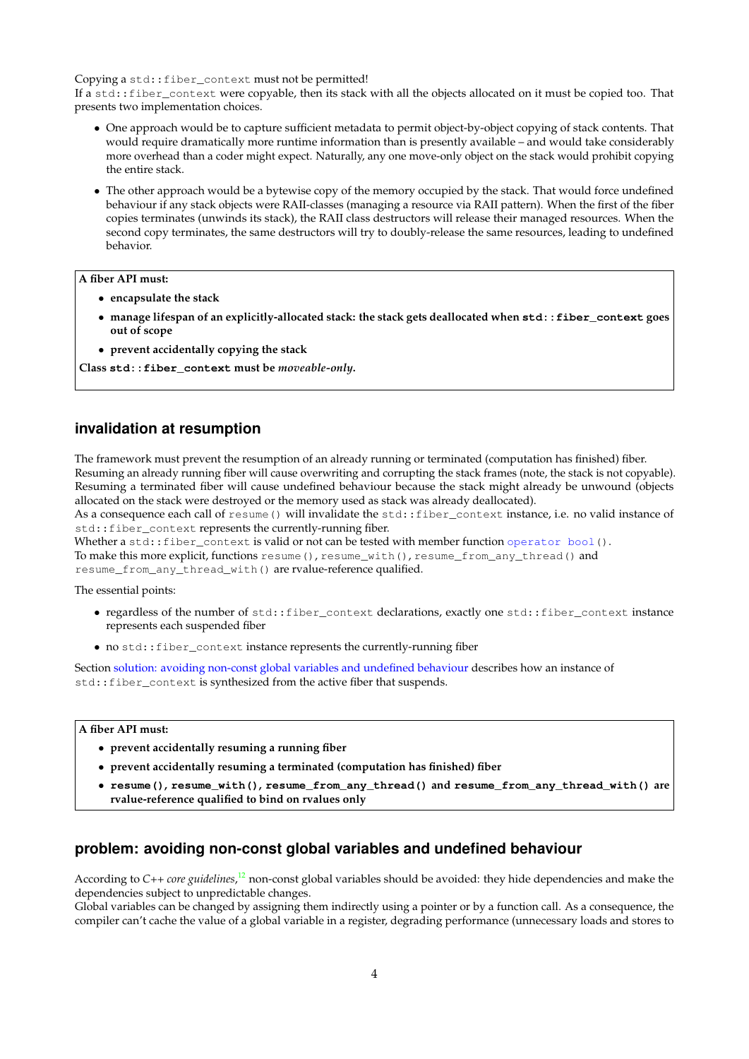Copying a std::fiber\_context must not be permitted!

If a std::fiber\_context were copyable, then its stack with all the objects allocated on it must be copied too. That presents two implementation choices.

- One approach would be to capture sufficient metadata to permit object-by-object copying of stack contents. That would require dramatically more runtime information than is presently available – and would take considerably more overhead than a coder might expect. Naturally, any one move-only object on the stack would prohibit copying the entire stack.
- The other approach would be a bytewise copy of the memory occupied by the stack. That would force undefined behaviour if any stack objects were RAII-classes (managing a resource via RAII pattern). When the first of the fiber copies terminates (unwinds its stack), the RAII class destructors will release their managed resources. When the second copy terminates, the same destructors will try to doubly-release the same resources, leading to undefined behavior.

### **A fiber API must:**

- **encapsulate the stack**
- **manage lifespan of an explicitly-allocated stack: the stack gets deallocated when std::fiber\_context goes out of scope**
- **prevent accidentally copying the stack**

**Class std::fiber\_context must be** *moveable-only***.**

## <span id="page-3-0"></span>**invalidation at resumption**

The framework must prevent the resumption of an already running or terminated (computation has finished) fiber. Resuming an already running fiber will cause overwriting and corrupting the stack frames (note, the stack is not copyable). Resuming a terminated fiber will cause undefined behaviour because the stack might already be unwound (objects allocated on the stack were destroyed or the memory used as stack was already deallocated).

As a consequence each call of resume() will invalidate the std::fiber\_context instance, i.e. no valid instance of std::fiber\_context represents the currently-running fiber.

Whether a std::fiber\_context is valid or not can be tested with member function operator bool().

To make this more explicit, functions resume(), resume\_with(), resume\_from\_any\_thread() and resume\_from\_any\_thread\_with() are rvalue-reference qualified.

The essential points:

- regardless of the number of std::fiber\_context declarations, exactly one std::fiber\_context instance represents each suspended fiber
- no std::fiber\_context instance represents the currently-running fiber

Section [solution: avoiding non-const global variables and undefined behaviour](#page-5-1) describes how an instance of std::fiber\_context is synthesized from the active fiber that suspends.

### **A fiber API must:**

- **prevent accidentally resuming a running fiber**
- **prevent accidentally resuming a terminated (computation has finished) fiber**
- **resume(), resume\_with(), resume\_from\_any\_thread() and resume\_from\_any\_thread\_with() are rvalue-reference qualified to bind on rvalues only**

## **problem: avoiding non-const global variables and undefined behaviour**

According to C++ *core guidelines*,<sup>[12](#page-25-6)</sup> non-const global variables should be avoided: they hide dependencies and make the dependencies subject to unpredictable changes.

Global variables can be changed by assigning them indirectly using a pointer or by a function call. As a consequence, the compiler can't cache the value of a global variable in a register, degrading performance (unnecessary loads and stores to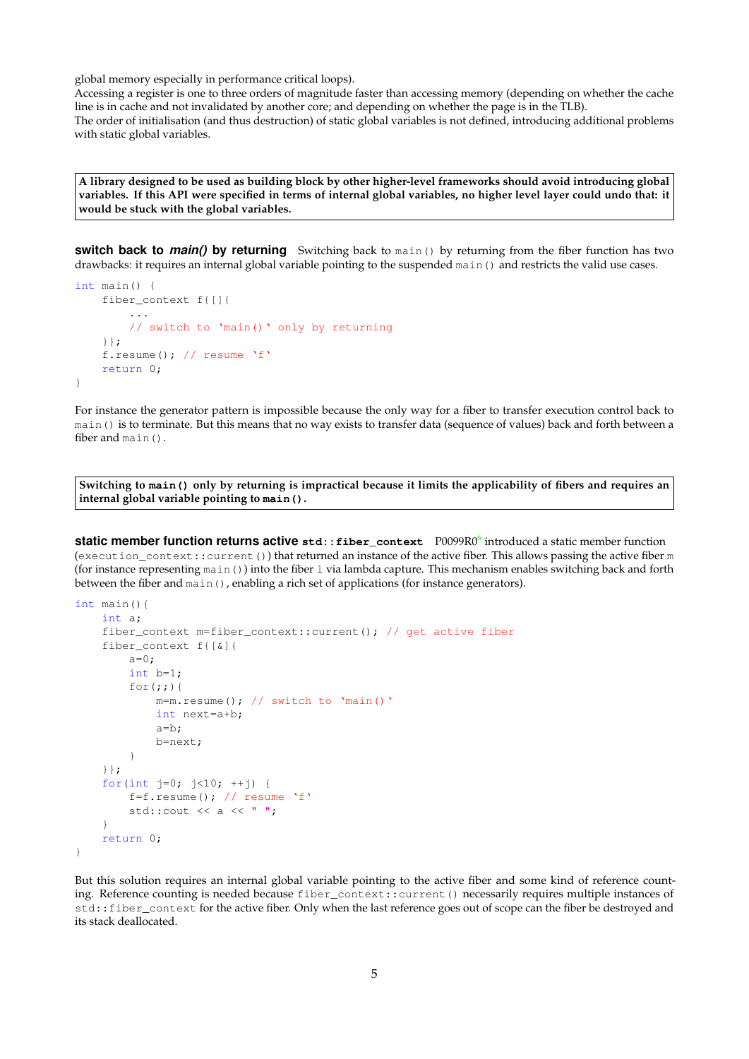global memory especially in performance critical loops).

Accessing a register is one to three orders of magnitude faster than accessing memory (depending on whether the cache line is in cache and not invalidated by another core; and depending on whether the page is in the TLB). The order of initialisation (and thus destruction) of static global variables is not defined, introducing additional problems with static global variables.

**A library designed to be used as building block by other higher-level frameworks should avoid introducing global variables. If this API were specified in terms of internal global variables, no higher level layer could undo that: it would be stuck with the global variables.**

**switch back to** *main()* **by returning** Switching back to main() by returning from the fiber function has two drawbacks: it requires an internal global variable pointing to the suspended main() and restricts the valid use cases.

```
int main() {
    fiber_context f{[]{
        ...
        // switch to 'main()' only by returning
    }};
    f.resume(); // resume 'f'
    return 0;
}
```
For instance the generator pattern is impossible because the only way for a fiber to transfer execution control back to main() is to terminate. But this means that no way exists to transfer data (sequence of values) back and forth between a fiber and main().

**Switching to main() only by returning is impractical because it limits the applicability of fibers and requires an internal global variable pointing to main().**

**static member function returns active** std::fiber\_context P0099R0<sup>[6](#page-25-7)</sup> introduced a static member function (execution\_context::current()) that returned an instance of the active fiber. This allows passing the active fiber m (for instance representing main()) into the fiber l via lambda capture. This mechanism enables switching back and forth between the fiber and main(), enabling a rich set of applications (for instance generators).

```
int main(){
   int a;
    fiber_context m=fiber_context::current(); // get active fiber
    fiber_context f{[&]{
        a=0;int b=1;
        for(j;j) {
            m=m.resume(); // switch to 'main()'
            int next=a+b;
            a=b;
            b=next;
        }
    }};
    for(int j=0; j<10; ++j) {
        f=f.resume(); // resume 'f'std::cout << a << " ";
    }
    return 0;
}
```
But this solution requires an internal global variable pointing to the active fiber and some kind of reference counting. Reference counting is needed because fiber\_context::current() necessarily requires multiple instances of std::fiber\_context for the active fiber. Only when the last reference goes out of scope can the fiber be destroyed and its stack deallocated.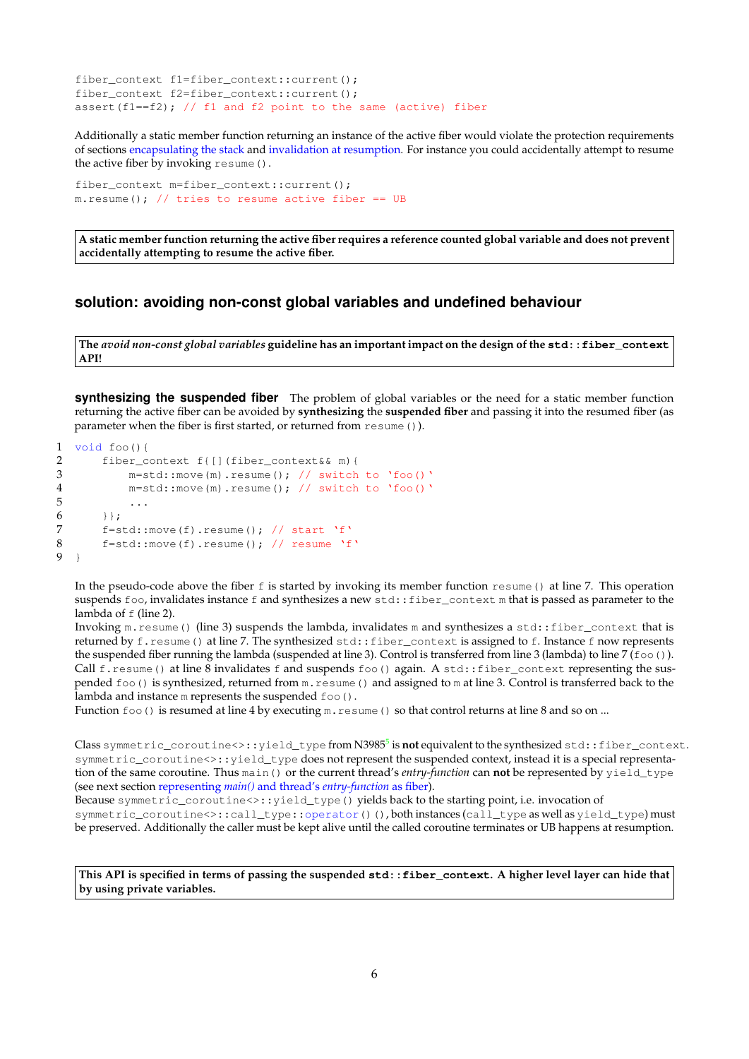```
fiber_context f1=fiber_context::current();
fiber_context f2=fiber_context::current();
assert(f1==f2); // f1 and f2 point to the same (active) fiber
```
Additionally a static member function returning an instance of the active fiber would violate the protection requirements of sections [encapsulating the stack](#page-2-2) and [invalidation at resumption.](#page-3-0) For instance you could accidentally attempt to resume the active fiber by invoking resume().

```
fiber_context m=fiber_context::current();
m. resume(); // tries to resume active fiber == UB
```
**A static member function returning the active fiber requires a reference counted global variable and does not prevent accidentally attempting to resume the active fiber.**

## <span id="page-5-1"></span>**solution: avoiding non-const global variables and undefined behaviour**

**The** *avoid non-const global variables* **guideline has an important impact on the design of the std::fiber\_context API!**

<span id="page-5-2"></span>**synthesizing the suspended fiber** The problem of global variables or the need for a static member function returning the active fiber can be avoided by **synthesizing** the **suspended fiber** and passing it into the resumed fiber (as parameter when the fiber is first started, or returned from resume()).

```
1 void foo(){
2 fiber_context f{[](fiber_context&& m){
3 m=std::move(m).resume(); // switch to 'foo()'<br>4 m=std::move(m).resume(); // switch to 'foo()'
4 m=std::move(m).resume(); // switch to 'foo()'
                  5 ...
\begin{array}{ccc} 6 & & & \text{ } \\ 7 & & & \text{ } \\ 7 & & & \text{ } \\ 6 & & & \text{ } \end{array}7 f=std::move(f).resume(); // start 'f'<br>8 f=std::move(f).resume(); // resume 'f
           f=std::move(f).result(); // resume 'f'
\overline{9}
```
In the pseudo-code above the fiber  $f$  is started by invoking its member function resume() at line 7. This operation suspends foo, invalidates instance f and synthesizes a new std:: fiber context m that is passed as parameter to the lambda of f (line 2).

Invoking m. resume() (line 3) suspends the lambda, invalidates m and synthesizes a std::fiber\_context that is returned by f.resume() at line 7. The synthesized std::fiber\_context is assigned to f. Instance f now represents the suspended fiber running the lambda (suspended at line 3). Control is transferred from line 3 (lambda) to line 7 ( $f \circ \circ$ ). Call  $f$ . resume() at line  $8$  invalidates  $f$  and suspends  $f \circ \circ$ () again. A std::fiber\_context representing the suspended foo() is synthesized, returned from m.resume() and assigned to m at line 3. Control is transferred back to the lambda and instance m represents the suspended  $f$ oo().

Function  $f \circ \circ$  () is resumed at line 4 by executing  $m$ . resume () so that control returns at line 8 and so on ...

 $\alpha$ lass symmetric\_coroutine<>::yield\_typef**rom N398[5](#page-25-0)<sup>5</sup> is not** equivalent to the synthesized std::fiber\_context. symmetric\_coroutine<>:: yield\_type does not represent the suspended context, instead it is a special representation of the same coroutine. Thus main() or the current thread's *entry-function* can **not** be represented by yield\_type (see next section representing *main()* and thread's *[entry-function](#page-6-0)* as fiber).

Because symmetric\_coroutine<>::yield\_type() yields back to the starting point, i.e. invocation of symmetric\_coroutine<>::call\_type::operator()(), both instances (call\_type as well as yield\_type) must be preserved. Additionally the caller must be kept alive until the called coroutine terminates or UB happens at resumption.

**This API is specified in terms of passing the suspended std::fiber\_context. A higher level layer can hide that by using private variables.**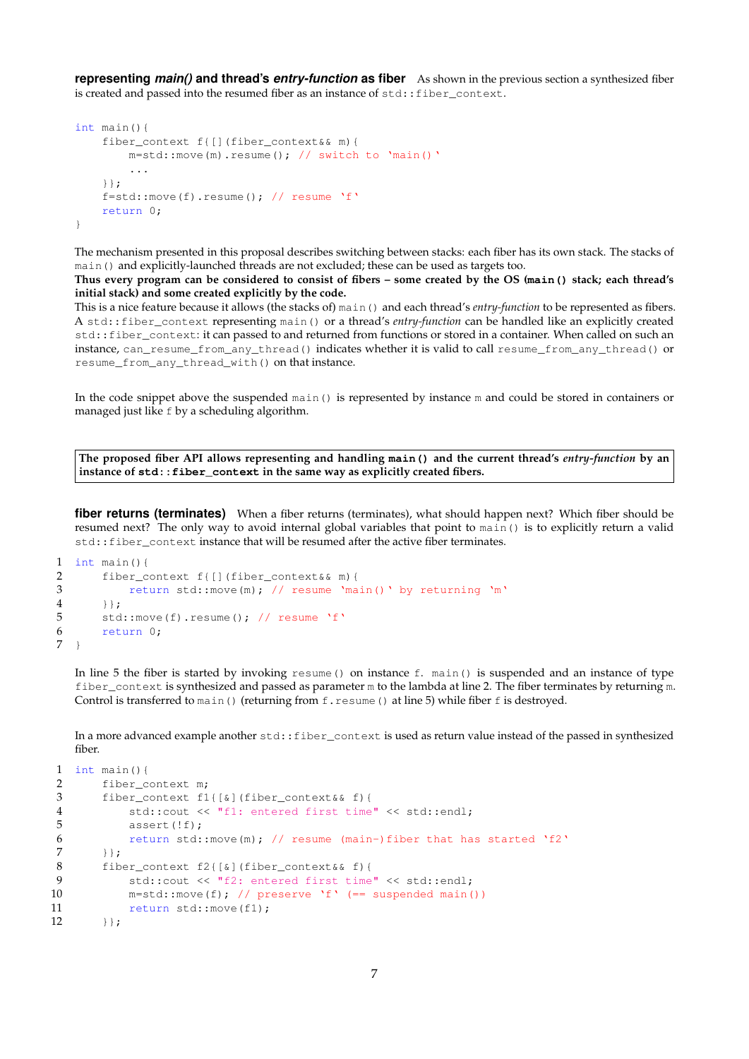<span id="page-6-0"></span>**representing** *main()* **and thread's** *entry-function* **as fiber** As shown in the previous section a synthesized fiber is created and passed into the resumed fiber as an instance of  $std$ ::fiber\_context.

```
int main(){
    fiber_context f{[](fiber_context&& m){
        m=std::move(m).resume(); // switch to 'main()'
        ...
    }};
    f=std::move(f).result(); // resume 'f'
    return 0;
}
```
The mechanism presented in this proposal describes switching between stacks: each fiber has its own stack. The stacks of main() and explicitly-launched threads are not excluded; these can be used as targets too.

**Thus every program can be considered to consist of fibers – some created by the OS (main() stack; each thread's initial stack) and some created explicitly by the code.**

This is a nice feature because it allows (the stacks of) main() and each thread's *entry-function* to be represented as fibers. A std::fiber\_context representing main() or a thread's *entry-function* can be handled like an explicitly created std::fiber\_context: it can passed to and returned from functions or stored in a container. When called on such an instance, can\_resume\_from\_any\_thread() indicates whether it is valid to call resume\_from\_any\_thread() or resume\_from\_any\_thread\_with() on that instance.

In the code snippet above the suspended main() is represented by instance m and could be stored in containers or managed just like f by a scheduling algorithm.

**The proposed fiber API allows representing and handling main() and the current thread's** *entry-function* **by an instance of std::fiber\_context in the same way as explicitly created fibers.**

**fiber returns (terminates)** When a fiber returns (terminates), what should happen next? Which fiber should be resumed next? The only way to avoid internal global variables that point to main() is to explicitly return a valid std::fiber\_context instance that will be resumed after the active fiber terminates.

```
1 int main(){
2 fiber_context f{[](fiber_context&& m){<br>3 return std::move(m): // resume 'ma
           return std::move(m); // resume 'main()' by returning 'm'
4 }};
5 std::move(f).resume(); // resume 'f'
6 return 0;
7 }
```
In line 5 the fiber is started by invoking resume() on instance f. main() is suspended and an instance of type fiber\_context is synthesized and passed as parameter m to the lambda at line 2. The fiber terminates by returning m. Control is transferred to  $\text{main}()$  (returning from f. resume () at line 5) while fiber f is destroyed.

In a more advanced example another  $std::fiber\_context$  is used as return value instead of the passed in synthesized fiber.

```
1 int main()\{2 fiber_context m;
3 fiber_context f1{[&](fiber_context&& f){
4 std::cout << "f1: entered first time" << std::endl;
5 assert(!f);
6 return std::move(m); // resume (main-)fiber that has started 'f2'
7 \t};
8 fiber_context f2{[\&]}(fiber_context& f){<br>9 std::cout << "f2: entered first time
          std::cout << "f2: entered first time" << std::endl;
10 m=std::move(f); // preserve 'f' (== suspended main())
11 return std::move(f1);
12 }};
```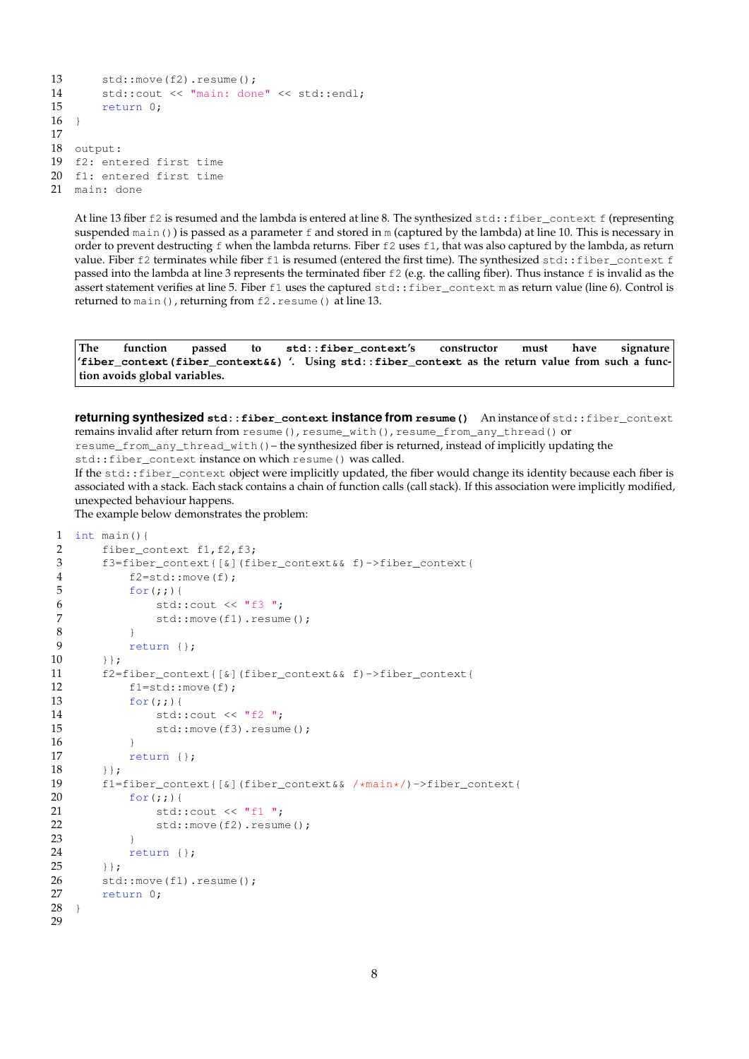```
13 std::move(f2).resume();
14 std::cout << "main: done" << std::endl;<br>15 return 0:
        return 0:
16 \quad \}17
18 output:
19 f2: entered first time
20 f1: entered first time
21 main: done
```
At line 13 fiber  $f2$  is resumed and the lambda is entered at line 8. The synthesized  $std$ :: $fiber) context  $f$  (representing$ suspended main()) is passed as a parameter  $f$  and stored in m (captured by the lambda) at line 10. This is necessary in order to prevent destructing  $f$  when the lambda returns. Fiber  $f2$  uses  $f1$ , that was also captured by the lambda, as return value. Fiber f2 terminates while fiber f1 is resumed (entered the first time). The synthesized std::fiber\_context f passed into the lambda at line 3 represents the terminated fiber f2 (e.g. the calling fiber). Thus instance f is invalid as the assert statement verifies at line 5. Fiber f1 uses the captured std::fiber\_context m as return value (line 6). Control is returned to main(), returning from f2. resume() at line 13.

**The function passed to std::fiber\_context's constructor must have signature 'fiber\_context(fiber\_context&&) '. Using std::fiber\_context as the return value from such a function avoids global variables.**

<span id="page-7-0"></span>**returning synthesized std::fiber\_context instance from resume()** An instance of std::fiber\_context remains invalid after return from resume(), resume\_with(), resume\_from\_any\_thread() or resume\_from\_any\_thread\_with()– the synthesized fiber is returned, instead of implicitly updating the std::fiber\_context instance on which resume() was called.

If the std::fiber\_context object were implicitly updated, the fiber would change its identity because each fiber is associated with a stack. Each stack contains a chain of function calls (call stack). If this association were implicitly modified, unexpected behaviour happens.

The example below demonstrates the problem:

```
1 int main(){
2 fiber_context f1, f2, f3;
3 f3=fiber_context{[&](fiber_context&& f)->fiber_context{
4 f2=std::move(f);<br>5 for(::)for(j;)){
6 std::cout << "f3 ";
7 std::move(f1).resume();<br>8 }
8 }
9 return {};
10 \t};
11 f2=fiber_context{[&](fiber_context&& f)->fiber_context{
12 f1=std::move(f);
13 for (i; j) {
14 std::cout << "f2 ";
15 std::move(f3).resume();
16 }
17 return {};
18 }};
19 f1=fiber_context{[&](fiber_context&& /*main*/)->fiber_context{
20 for (i; j) {
21 std::cout << "f1 ";
22 std::move(f2).resume();
23 }
24 return {};
25 }};
26 std::move(f1).resume();
27 return 0;
28 }
29
```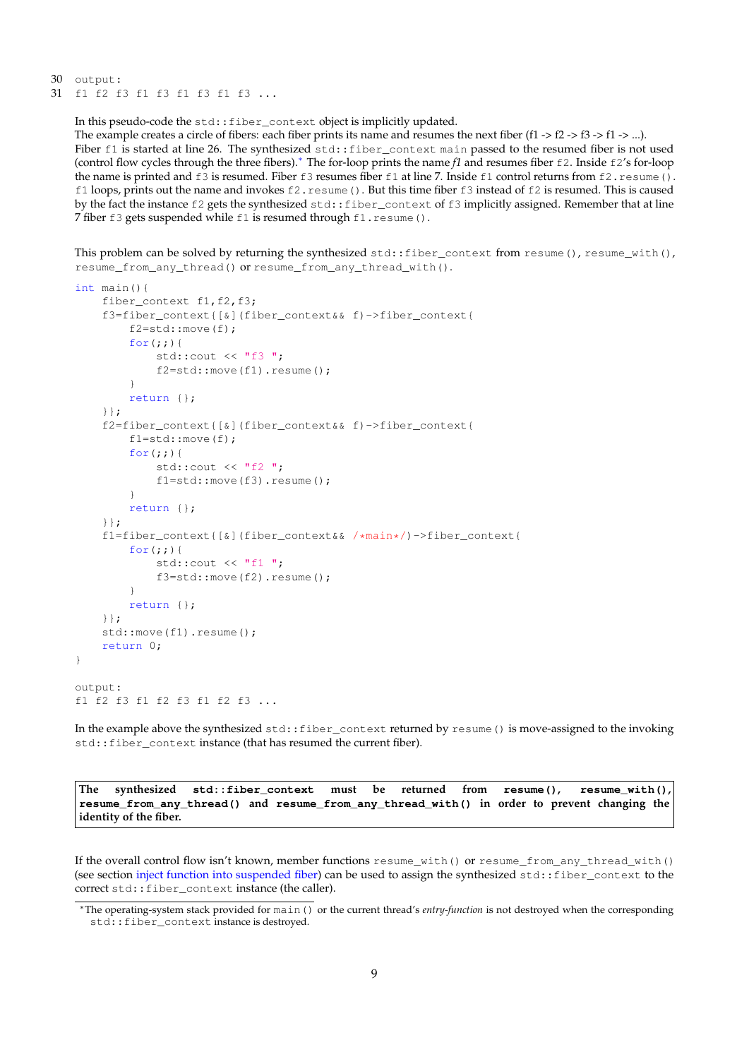30 output: 31 f1 f2 f3 f1 f3 f1 f3 f1 f3 ...

In this pseudo-code the std::fiber\_context object is implicitly updated.

The example creates a circle of fibers: each fiber prints its name and resumes the next fiber (f1  $\geq$  f2  $\geq$  f3  $\geq$  f1  $\geq$  ...). Fiber f1 is started at line 26. The synthesized std::fiber\_context main passed to the resumed fiber is not used (control flow cycles through the three fibers).[∗](#page-8-0) The for-loop prints the name *f1* and resumes fiber f2. Inside f2's for-loop the name is printed and f3 is resumed. Fiber f3 resumes fiber f1 at line 7. Inside f1 control returns from f2. resume (). f1 loops, prints out the name and invokes f2.resume(). But this time fiber f3 instead of f2 is resumed. This is caused by the fact the instance f2 gets the synthesized  $std$ : fiber\_context of f3 implicitly assigned. Remember that at line 7 fiber f3 gets suspended while f1 is resumed through f1.resume().

This problem can be solved by returning the synthesized  $std::filter\_context$  from resume(), resume\_with(), resume\_from\_any\_thread() or resume\_from\_any\_thread\_with().

```
int main(){
    fiber context f1, f2, f3;
    f3=fiber_context{[&](fiber_context&& f)->fiber_context{
        f2=std::move(f);
        for(i;))std::cout \lt\lt "f3";
            f2=std::move(f1).resume();
        }
        return {};
    }};
    f2=fiber_context{[&](fiber_context&& f)->fiber_context{
        f1=std::move(f);
        for (j; j) {
            std::cout << "f2 ";
            f1=std::move(f3).resume();
        }
        return {};
    }};
    f1=fiber_context{[&](fiber_context&& /*main*/)->fiber_context{
        for(j;))std::cout << "f1 ";
            f3=std::move(f2).resume();
        }
        return {};
    }};
    std::move(f1).resume();
    return 0;
}
output:
f1 f2 f3 f1 f2 f3 f1 f2 f3 ...
```
In the example above the synthesized std::fiber\_context returned by resume() is move-assigned to the invoking std::fiber\_context instance (that has resumed the current fiber).

**The synthesized std::fiber\_context must be returned from resume(), resume\_with(), resume\_from\_any\_thread() and resume\_from\_any\_thread\_with() in order to prevent changing the identity of the fiber.**

If the overall control flow isn't known, member functions resume with() or resume from any thread with() (see section [inject function into suspended fiber\)](#page-9-1) can be used to assign the synthesized std::fiber\_context to the correct std::fiber\_context instance (the caller).

<span id="page-8-0"></span><sup>∗</sup>The operating-system stack provided for main() or the current thread's *entry-function* is not destroyed when the corresponding std::fiber\_context instance is destroyed.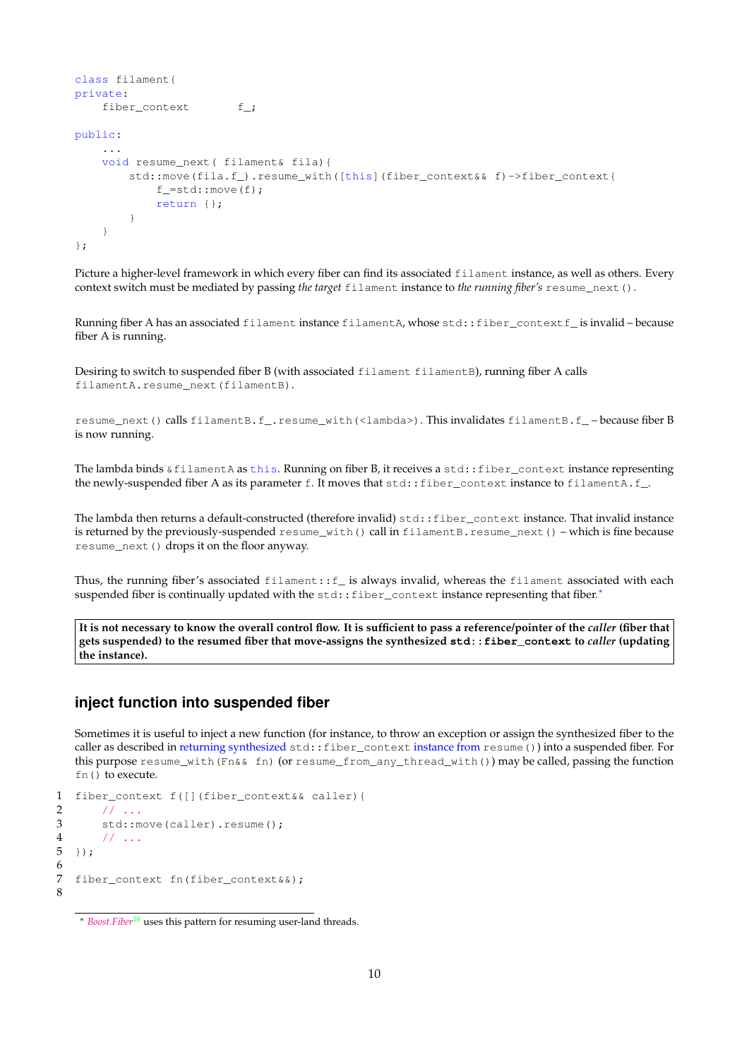```
class filament{
private:
   fiber_context f_;
public:
    ...
    void resume next( filament& fila) {
        std::move(fila.f_).resume_with([this](fiber_context& f)->fiber_context{
            f =std:: move (f);
            return {};
        }
    }
};
```
<span id="page-9-0"></span>Picture a higher-level framework in which every fiber can find its associated filament instance, as well as others. Every context switch must be mediated by passing *the target* filament instance to *the running fiber's* resume\_next().

Running fiber A has an associated filament instance filamentA, whose std::fiber\_contextf\_ is invalid – because fiber A is running.

Desiring to switch to suspended fiber B (with associated filament filamentB), running fiber A calls filamentA.resume\_next(filamentB).

resume\_next() calls filamentB.f\_.resume\_with(<lambda>). This invalidates filamentB.f\_ – because fiber B is now running.

The lambda binds  $\&$  filamentA as this. Running on fiber B, it receives a std: : fiber\_context instance representing the newly-suspended fiber A as its parameter f. It moves that std::fiber\_context instance to filamentA.f\_.

The lambda then returns a default-constructed (therefore invalid) std::fiber\_context instance. That invalid instance is returned by the previously-suspended resume\_with() call in filamentB.resume\_next() – which is fine because resume\_next() drops it on the floor anyway.

Thus, the running fiber's associated filament::f\_ is always invalid, whereas the filament associated with each suspended fiber is continually updated with the std::fiber\_context instance representing that fiber.\*

**It is not necessary to know the overall control flow. It is sufficient to pass a reference/pointer of the** *caller* **(fiber that gets suspended) to the resumed fiber that move-assigns the synthesized std::fiber\_context to** *caller* **(updating the instance).**

## <span id="page-9-1"></span>**inject function into suspended fiber**

Sometimes it is useful to inject a new function (for instance, to throw an exception or assign the synthesized fiber to the caller as described in returning synthesized [std::fiber\\_context](#page-7-0) instance from resume()) into a suspended fiber. For this purpose resume\_with(Fn&& fn) (or resume\_from\_any\_thread\_with()) may be called, passing the function fn() to execute.

```
1 fiber_context f([](fiber_context&& caller){
\frac{2}{3} // ...<br>3 std:
       std::move(caller).resume();
4 // ...
5 \; });
6
7 fiber_context fn(fiber_context&&);
8
```
<span id="page-9-2"></span><sup>∗</sup> *[Boost.Fiber](http://www.boost.org/doc/libs/release/libs/fiber/doc/html/index.html)*[16](#page-25-8) uses this pattern for resuming user-land threads.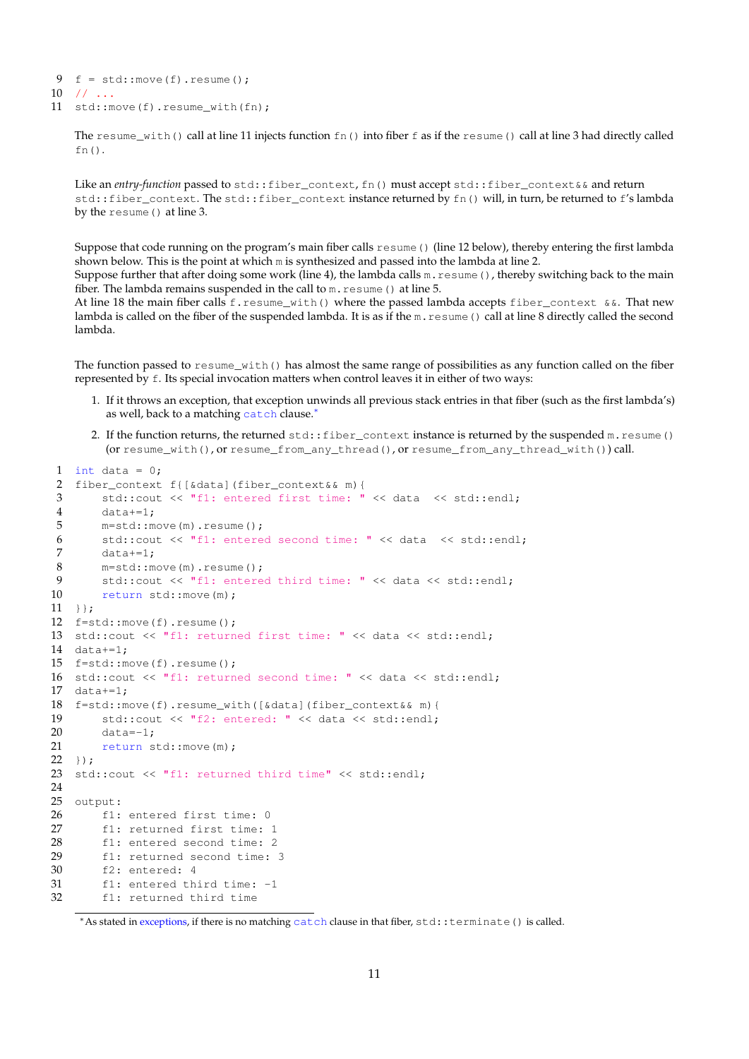```
9 f = std::move(f).result();
10 // ...
11 std:: move(f).resume_with(fn);
```
The resume\_with() call at line 11 injects function  $fn()$  into fiber f as if the resume() call at line 3 had directly called fn().

Like an *entry-function* passed to std::fiber\_context, fn() must accept std::fiber\_context & & and return std::fiber\_context. The std::fiber\_context instance returned by fn() will, in turn, be returned to f's lambda by the resume() at line 3.

Suppose that code running on the program's main fiber calls  $r$ esume() (line 12 below), thereby entering the first lambda shown below. This is the point at which m is synthesized and passed into the lambda at line 2.

Suppose further that after doing some work (line 4), the lambda calls  $m$ .  $r$ esume(), thereby switching back to the main fiber. The lambda remains suspended in the call to m. resume () at line 5.

At line 18 the main fiber calls f.resume\_with() where the passed lambda accepts fiber\_context  $&\&$ . That new lambda is called on the fiber of the suspended lambda. It is as if the m. resume () call at line 8 directly called the second lambda.

The function passed to  $resume\_with()$  has almost the same range of possibilities as any function called on the fiber represented by f. Its special invocation matters when control leaves it in either of two ways:

- 1. If it throws an exception, that exception unwinds all previous stack entries in that fiber (such as the first lambda's) as well, back to a matching catch clause.[∗](#page-10-0)
- 2. If the function returns, the returned  $std::fiber\_context$  instance is returned by the suspended  $m.resume()$ (or resume\_with(), or resume\_from\_any\_thread(), or resume\_from\_any\_thread\_with()) call.

```
1 int data = 0:
2 fiber_context f{[&data](fiber_context&& m){
3 std::cout << "f1: entered first time: " << data << std::endl;
4 data+=1;
5 m=std::move(m).resume();
6 std::cout << "f1: entered second time: " << data << std::endl;
7 data+=1;
8 m=std::move(m).resume();
9 std::cout << "fl: entered third time: " << data << std::endl;<br>10 return std::move(m):
       return std::move(m);
11 }};
12 f=std::move(f).resume();
13 std::cout << "f1: returned first time: " << data << std::endl;
14 data+=1;
15 f=std::move(f).resume();
16 std::cout << "f1: returned second time: " << data << std::endl;
17 data+=1;18 f=std::move(f).resume_with([&data](fiber_context&& m){
19 std::cout << "f2: entered: " << data << std::endl;
20 data=-1;21 return std::move(m);
22 });
23 std::cout << "f1: returned third time" << std::endl;
24
25 output:
26 f1: entered first time: 0
27 f1: returned first time: 1
28 f1: entered second time: 2
29 f1: returned second time: 3
30 f2: entered: 4<br>31 f1: entered th
       f1: entered third time: -1
32 f1: returned third time
```
<span id="page-10-0"></span><sup>∗</sup>As stated in [exceptions,](#page-13-2) if there is no matching catch clause in that fiber, std::terminate() is called.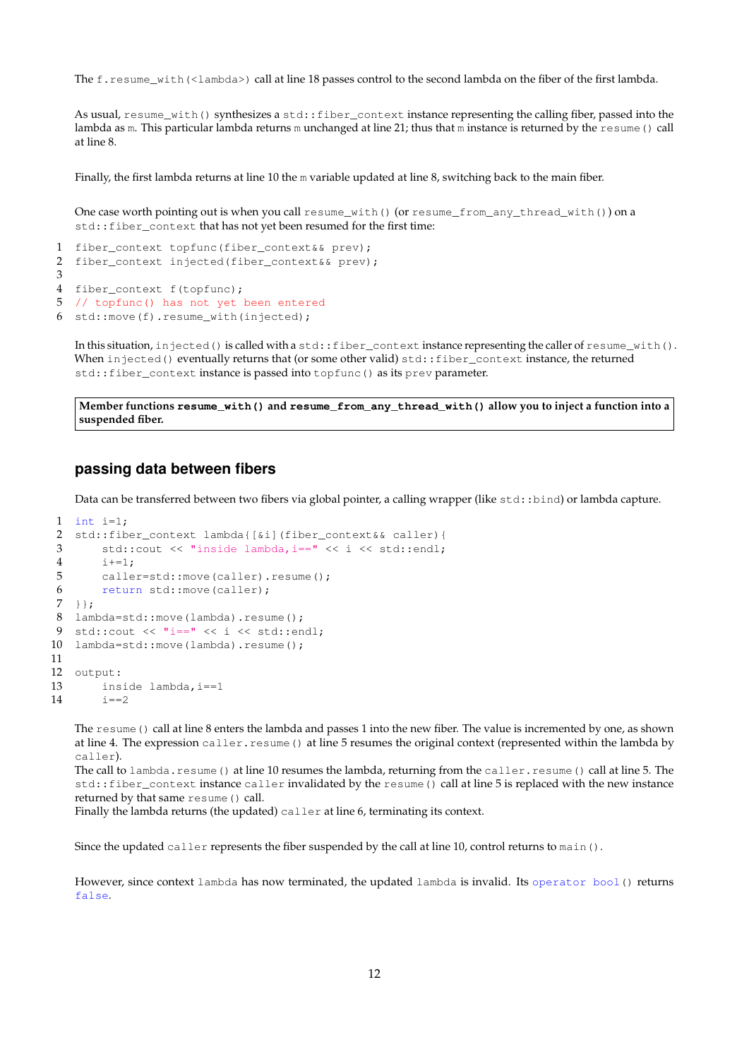The f.resume\_with(<lambda>) call at line 18 passes control to the second lambda on the fiber of the first lambda.

As usual, resume\_with() synthesizes a std::fiber\_context instance representing the calling fiber, passed into the lambda as m. This particular lambda returns m unchanged at line 21; thus that m instance is returned by the resume () call at line 8.

Finally, the first lambda returns at line 10 the m variable updated at line 8, switching back to the main fiber.

One case worth pointing out is when you call resume\_with() (or resume\_from\_any\_thread\_with()) on a std::fiber\_context that has not yet been resumed for the first time:

```
1 fiber_context topfunc(fiber_context&& prev);
2 fiber_context injected(fiber_context&& prev);
3
4 fiber_context f(topfunc);
5 // topfunc() has not yet been entered
6 std::move(f).resume_with(injected);
```
<span id="page-11-0"></span>In this situation, injected() is called with a std::fiber\_context instance representing the caller of resume\_with(). When injected() eventually returns that (or some other valid) std::fiber\_context instance, the returned std::fiber\_context instance is passed into topfunc() as its prev parameter.

**Member functions resume\_with() and resume\_from\_any\_thread\_with() allow you to inject a function into a suspended fiber.**

## **passing data between fibers**

Data can be transferred between two fibers via global pointer, a calling wrapper (like std::bind) or lambda capture.

```
1 int i=1;
2 std::fiber_context lambda{[&i](fiber_context&& caller){
3 std::cout << "inside lambda,i==" << i << std::endl;
4 i+=1;
5 caller=std::move(caller).resume();
6 return std::move(caller);
7 + };8 lambda=std::move(lambda).resume();
9 std::cout << "i==" << i << std::endl;
10 lambda=std::move(lambda).resume();
11
12 output:
13 inside lambda, i == 1<br>14 i == 21 = 2
```
<span id="page-11-1"></span>The resume() call at line 8 enters the lambda and passes 1 into the new fiber. The value is incremented by one, as shown at line 4. The expression caller.resume() at line 5 resumes the original context (represented within the lambda by caller).

The call to lambda.resume() at line 10 resumes the lambda, returning from the caller.resume() call at line 5. The std::fiber\_context instance caller invalidated by the resume() call at line 5 is replaced with the new instance returned by that same resume() call.

Finally the lambda returns (the updated) caller at line 6, terminating its context.

Since the updated caller represents the fiber suspended by the call at line 10, control returns to main().

However, since context lambda has now terminated, the updated lambda is invalid. Its operator bool() returns false.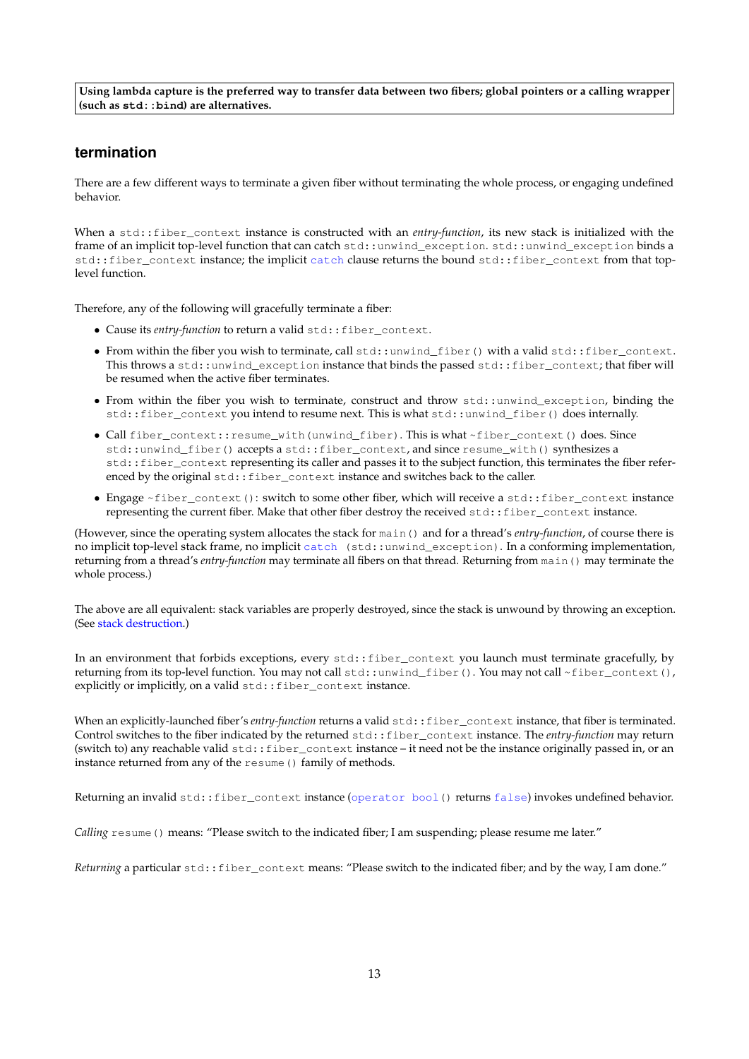**Using lambda capture is the preferred way to transfer data between two fibers; global pointers or a calling wrapper (such as std::bind) are alternatives.**

## <span id="page-12-0"></span>**termination**

There are a few different ways to terminate a given fiber without terminating the whole process, or engaging undefined behavior.

When a std::fiber\_context instance is constructed with an *entry-function*, its new stack is initialized with the frame of an implicit top-level function that can catch std::unwind\_exception. std::unwind\_exception binds a std::fiber\_context instance; the implicit catch clause returns the bound std::fiber\_context from that toplevel function.

Therefore, any of the following will gracefully terminate a fiber:

- Cause its *entry-function* to return a valid std::fiber\_context.
- From within the fiber you wish to terminate, call std::unwind\_fiber() with a valid std::fiber\_context. This throws a std::unwind\_exception instance that binds the passed std::fiber\_context; that fiber will be resumed when the active fiber terminates.
- From within the fiber you wish to terminate, construct and throw std::unwind\_exception, binding the std::fiber\_context you intend to resume next. This is what std::unwind\_fiber() does internally.
- Call fiber\_context::resume\_with(unwind\_fiber). This is what ~fiber\_context() does. Since std::unwind\_fiber() accepts a std::fiber\_context, and since resume\_with() synthesizes a std::fiber\_context representing its caller and passes it to the subject function, this terminates the fiber referenced by the original std::fiber\_context instance and switches back to the caller.
- Engage ~fiber\_context(): switch to some other fiber, which will receive a std::fiber\_context instance representing the current fiber. Make that other fiber destroy the received std::fiber\_context instance.

(However, since the operating system allocates the stack for main() and for a thread's *entry-function*, of course there is no implicit top-level stack frame, no implicit catch (std::unwind\_exception). In a conforming implementation, returning from a thread's *entry-function* may terminate all fibers on that thread. Returning from main() may terminate the whole process.)

The above are all equivalent: stack variables are properly destroyed, since the stack is unwound by throwing an exception. (See [stack destruction.](#page-13-1))

In an environment that forbids exceptions, every std::fiber\_context you launch must terminate gracefully, by returning from its top-level function. You may not call std::unwind\_fiber(). You may not call ~fiber\_context(), explicitly or implicitly, on a valid std:: fiber\_context instance.

When an explicitly-launched fiber's *entry-function* returns a valid std::fiber\_context instance, that fiber is terminated. Control switches to the fiber indicated by the returned std::fiber\_context instance. The *entry-function* may return (switch to) any reachable valid std::fiber\_context instance – it need not be the instance originally passed in, or an instance returned from any of the resume () family of methods.

Returning an invalid std::fiber\_context instance (operator bool() returns false) invokes undefined behavior.

*Calling* resume() means: "Please switch to the indicated fiber; I am suspending; please resume me later."

Returning a particular std::fiber\_context means: "Please switch to the indicated fiber; and by the way, I am done."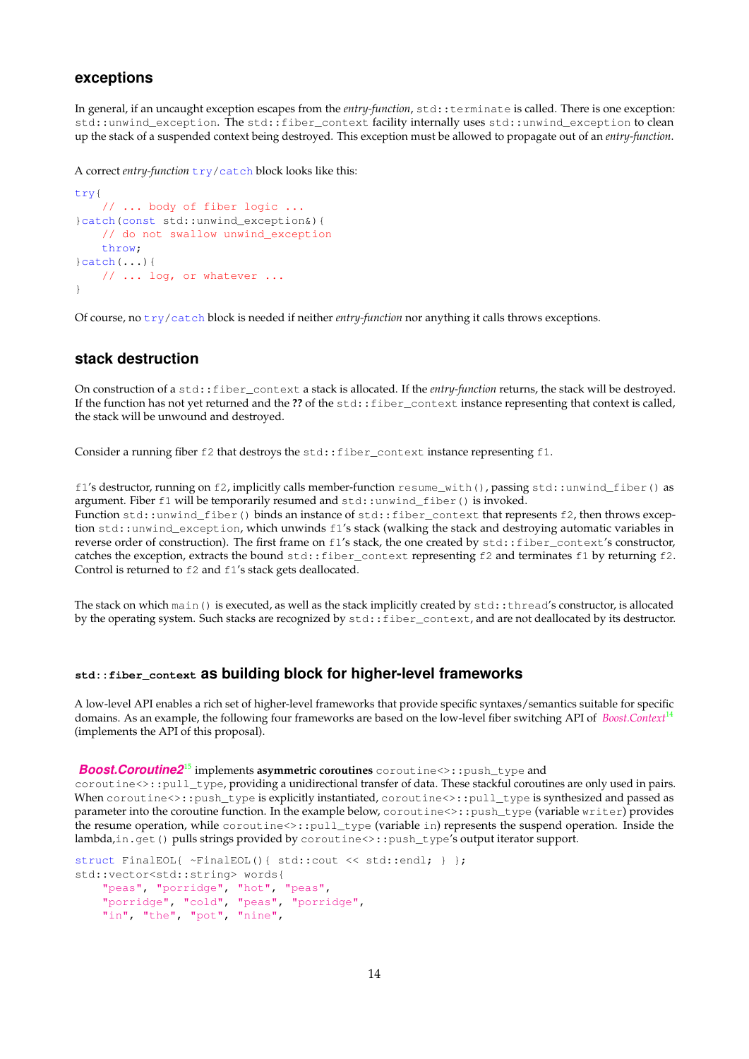## <span id="page-13-2"></span>**exceptions**

In general, if an uncaught exception escapes from the *entry-function*, std::terminate is called. There is one exception: std::unwind\_exception. The std::fiber\_context facility internally uses std::unwind\_exception to clean up the stack of a suspended context being destroyed. This exception must be allowed to propagate out of an *entry-function*.

A correct *entry-function*  $try/catch$  block looks like this:

```
try{
    // ... body of fiber logic ...
}catch(const std::unwind_exception&){
   // do not swallow unwind_exception
    throw;
}catch(...){
    // ... log, or whatever ...
}
```
<span id="page-13-0"></span>Of course, no try/catch block is needed if neither *entry-function* nor anything it calls throws exceptions.

## <span id="page-13-1"></span>**stack destruction**

On construction of a std::fiber\_context a stack is allocated. If the *entry-function* returns, the stack will be destroyed. If the function has not yet returned and the ?? of the std::fiber\_context instance representing that context is called, the stack will be unwound and destroyed.

Consider a running fiber f2 that destroys the std::fiber\_context instance representing f1.

f1's destructor, running on f2, implicitly calls member-function resume\_with(), passing std::unwind\_fiber() as argument. Fiber f1 will be temporarily resumed and std::unwind\_fiber() is invoked.

Function std::unwind\_fiber() binds an instance of std::fiber\_context that represents f2, then throws exception std::unwind\_exception, which unwinds f1's stack (walking the stack and destroying automatic variables in reverse order of construction). The first frame on f1's stack, the one created by std::fiber\_context's constructor, catches the exception, extracts the bound std::fiber\_context representing f2 and terminates f1 by returning f2. Control is returned to  $f2$  and  $f1's$  stack gets deallocated.

The stack on which main() is executed, as well as the stack implicitly created by std::thread's constructor, is allocated by the operating system. Such stacks are recognized by  $std:ffiber) context, and are not deallocated by its destructor.$ 

## **std::fiber\_context as building block for higher-level frameworks**

A low-level API enables a rich set of higher-level frameworks that provide specific syntaxes/semantics suitable for specific domains. As an example, the following four frameworks are based on the low-level fiber switching API of *[Boost.Context](http://www.boost.org/doc/libs/release/libs/context/doc/html/index.html)*[14](#page-25-9) (implements the API of this proposal).

### *[Boost.Coroutine2](http://www.boost.org/doc/libs/release/libs/coroutine2/doc/html/index.html)*[15](#page-25-10) implements **asymmetric coroutines** coroutine<>::push\_type and

coroutine<>::pull\_type, providing a unidirectional transfer of data. These stackful coroutines are only used in pairs. When coroutine<>::push\_type is explicitly instantiated, coroutine<>::pull\_type is synthesized and passed as parameter into the coroutine function. In the example below, coroutine<>::push\_type (variable writer) provides the resume operation, while coroutine<>::pull\_type (variable in) represents the suspend operation. Inside the lambda,in.get() pulls strings provided by coroutine<>::push\_type's output iterator support.

```
struct FinalEOL{ ~FinalEOL(){ std::cout << std::endl; } };
std::vector<std::string> words{
    "peas", "porridge", "hot", "peas",
    "porridge", "cold", "peas", "porridge",
    "in", "the", "pot", "nine",
```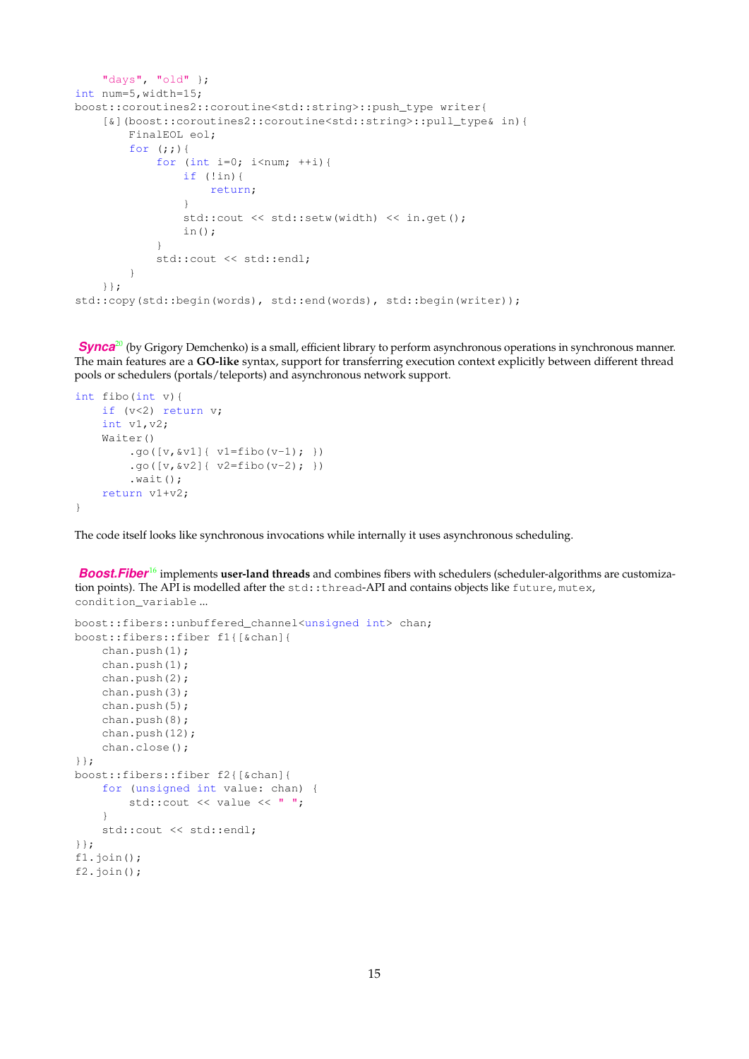```
"days", "old" };
int num=5,width=15;
boost::coroutines2::coroutine<std::string>::push_type writer{
    [&](boost::coroutines2::coroutine<std::string>::pull_type& in){
        FinalEOL eol;
        for (i; j) {
            for (int i=0; i<num; ++i) {
                if (!in){
                    return;
                }
                std::cout << std::setw(width) << in.get();
                in();
            }
            std::cout << std::endl;
        }
    }};
std::copy(std::begin(words), std::end(words), std::begin(writer));
```
**[Synca](https://github.com/gridem/Synca)**<sup>[20](#page-25-11)</sup> (by Grigory Demchenko) is a small, efficient library to perform asynchronous operations in synchronous manner. The main features are a **GO-like** syntax, support for transferring execution context explicitly between different thread pools or schedulers (portals/teleports) and asynchronous network support.

```
int fibo(int v){
    if (v<2) return v;
    int v1,v2;
    Waiter()
         .go([v, \& v1]{ v1 = fibo(v-1); })
         .go([v, \& v2]{ v2 = fibo(v-2); })
         (wait();
    return v1+v2;
}
```
The code itself looks like synchronous invocations while internally it uses asynchronous scheduling.

**[Boost.Fiber](http://www.boost.org/doc/libs/release/libs/fiber/doc/html/index.html)**<sup>[16](#page-25-8)</sup> implements user-land threads and combines fibers with schedulers (scheduler-algorithms are customization points). The API is modelled after the std::thread-API and contains objects like future, mutex, condition\_variable ...

```
boost::fibers::unbuffered_channel<unsigned int> chan;
boost::fibers::fiber f1{[&chan]{
   chan.push(1);
    chan.push(1);
    chan.push(2);
    chan.push(3);
    chan.push(5);
    chan.push(8);
    chan.push(12);
    chan.close();
}};
boost::fibers::fiber f2{[&chan]{
    for (unsigned int value: chan) {
        std::cout << value << " ";
    }
    std::cout << std::endl;
}};
f1.join();
f2.join();
```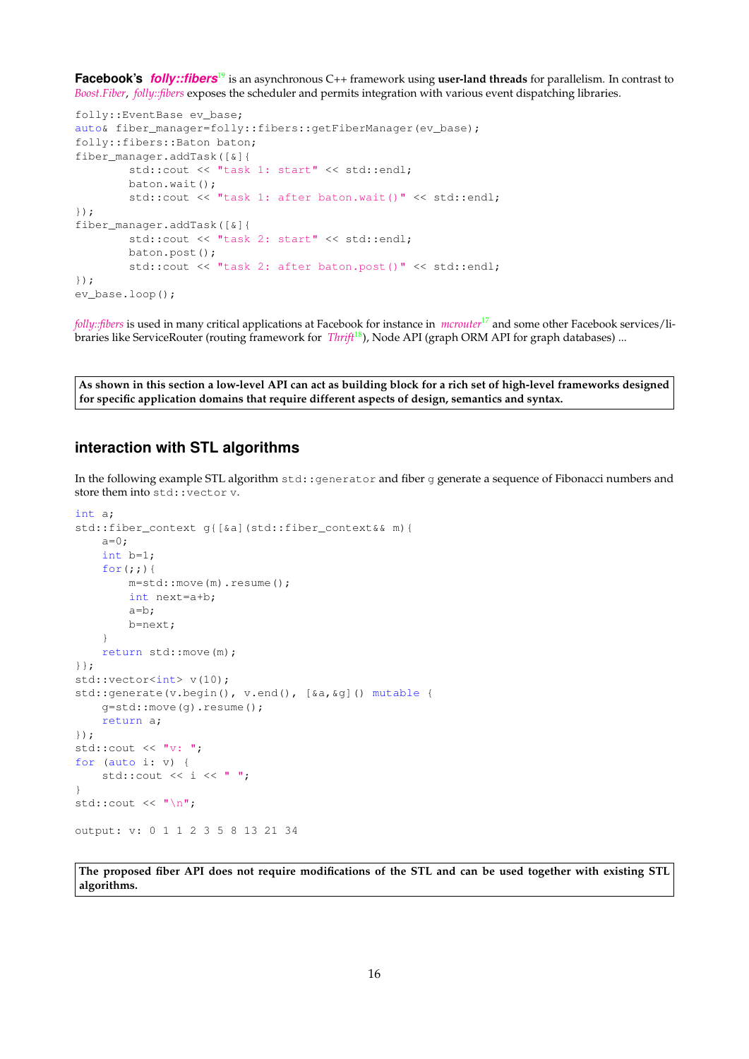**Facebook's** *[folly::fibers](https://github.com/facebook/folly/tree/master/folly/fibers)*[19](#page-25-12) is an asynchronous C++ framework using **user-land threads** for parallelism. In contrast to *[Boost.Fiber](http://www.boost.org/doc/libs/release/libs/fiber/doc/html/index.html)*, *[folly::fibers](https://github.com/facebook/folly/tree/master/folly/fibers)* exposes the scheduler and permits integration with various event dispatching libraries.

```
folly::EventBase ev_base;
auto& fiber_manager=folly::fibers::getFiberManager(ev_base);
folly::fibers::Baton baton;
fiber_manager.addTask([&]{
       std::cout << "task 1: start" << std::endl;
        baton.wait();
        std::cout << "task 1: after baton.wait()" << std::endl;
});
fiber_manager.addTask([&]{
       std::cout << "task 2: start" << std::endl;
        baton.post();
        std::cout << "task 2: after baton.post()" << std::endl;
});
ev_base.loop();
```
<span id="page-15-0"></span>*[folly::fibers](https://github.com/facebook/folly/tree/master/folly/fibers)* is used in many critical applications at Facebook for instance in *[mcrouter](https://code.facebook.com/posts/296442737213493/introducing-mcrouter-a-memcached-protocol-router-for-scaling-memcached-deployments)*[17](#page-25-13) and some other Facebook services/libraries like ServiceRouter (routing framework for *[Thrift](https://github.com/facebook/fbthrift)*<sup>[18](#page-25-14)</sup>), Node API (graph ORM API for graph databases) ...

**As shown in this section a low-level API can act as building block for a rich set of high-level frameworks designed for specific application domains that require different aspects of design, semantics and syntax.**

## **interaction with STL algorithms**

In the following example STL algorithm  $std:generator$  and fiber q generate a sequence of Fibonacci numbers and store them into std: : vector v.

```
int a;
std::fiber_context g{[&a](std::fiber_context&& m){
    a=0:
    int b=1;
    for(j;))m=std::move(m).resume();
        int next=a+b;
        a=b;
        b=next;
    }
    return std::move(m);
}};
std::vector<int> v(10);
std::generate(v.begin(), v.end(), [&a, &g]() mutable {
    g=std::move(g).resume();
    return a;
});
std::cout \lt\lt "v: ";
for (auto i: v) {
    std::cout << i << " ";
}
std::cout \langle \cdot \cdot \cdot \cdot \cdot \ranglen";
output: v: 0 1 1 2 3 5 8 13 21 34
```
<span id="page-15-1"></span>**The proposed fiber API does not require modifications of the STL and can be used together with existing STL algorithms.**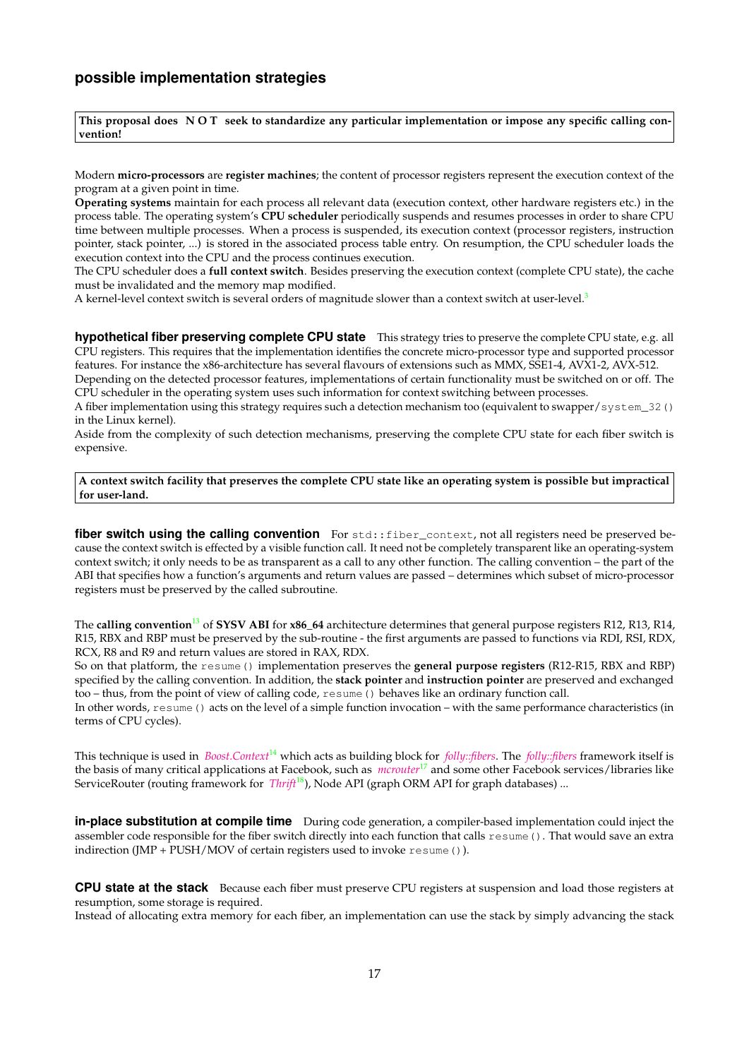**This proposal does N O T seek to standardize any particular implementation or impose any specific calling convention!**

Modern **micro-processors** are **register machines**; the content of processor registers represent the execution context of the program at a given point in time.

**Operating systems** maintain for each process all relevant data (execution context, other hardware registers etc.) in the process table. The operating system's **CPU scheduler** periodically suspends and resumes processes in order to share CPU time between multiple processes. When a process is suspended, its execution context (processor registers, instruction pointer, stack pointer, ...) is stored in the associated process table entry. On resumption, the CPU scheduler loads the execution context into the CPU and the process continues execution.

The CPU scheduler does a **full context switch**. Besides preserving the execution context (complete CPU state), the cache must be invalidated and the memory map modified.

A kernel-level context switch is several orders of magnitude slower than a context switch at user-level.<sup>[3](#page-25-15)</sup>

**hypothetical fiber preserving complete CPU state** This strategy tries to preserve the complete CPU state, e.g. all CPU registers. This requires that the implementation identifies the concrete micro-processor type and supported processor features. For instance the x86-architecture has several flavours of extensions such as MMX, SSE1-4, AVX1-2, AVX-512.

Depending on the detected processor features, implementations of certain functionality must be switched on or off. The CPU scheduler in the operating system uses such information for context switching between processes.

A fiber implementation using this strategy requires such a detection mechanism too (equivalent to swapper/system\_32() in the Linux kernel).

Aside from the complexity of such detection mechanisms, preserving the complete CPU state for each fiber switch is expensive.

**A context switch facility that preserves the complete CPU state like an operating system is possible but impractical for user-land.**

<span id="page-16-1"></span>fiber switch using the calling convention For std::fiber\_context, not all registers need be preserved because the context switch is effected by a visible function call. It need not be completely transparent like an operating-system context switch; it only needs to be as transparent as a call to any other function. The calling convention – the part of the ABI that specifies how a function's arguments and return values are passed – determines which subset of micro-processor registers must be preserved by the called subroutine.

The **calling convention**[13](#page-25-16) of **SYSV ABI** for **x86\_64** architecture determines that general purpose registers R12, R13, R14, R15, RBX and RBP must be preserved by the sub-routine - the first arguments are passed to functions via RDI, RSI, RDX, RCX, R8 and R9 and return values are stored in RAX, RDX.

So on that platform, the resume() implementation preserves the **general purpose registers** (R12-R15, RBX and RBP) specified by the calling convention. In addition, the **stack pointer** and **instruction pointer** are preserved and exchanged too – thus, from the point of view of calling code, resume () behaves like an ordinary function call.

In other words, resume() acts on the level of a simple function invocation – with the same performance characteristics (in terms of CPU cycles).

This technique is used in *[Boost.Context](http://www.boost.org/doc/libs/release/libs/context/doc/html/index.html)*[14](#page-25-9) which acts as building block for *[folly::fibers](https://github.com/facebook/folly/tree/master/folly/fibers)*. The *[folly::fibers](https://github.com/facebook/folly/tree/master/folly/fibers)* framework itself is the basis of many critical applications at Facebook, such as *[mcrouter](https://code.facebook.com/posts/296442737213493/introducing-mcrouter-a-memcached-protocol-router-for-scaling-memcached-deployments)*[17](#page-25-13) and some other Facebook services/libraries like ServiceRouter (routing framework for *[Thrift](https://github.com/facebook/fbthrift)*[18](#page-25-14)), Node API (graph ORM API for graph databases) ...

**in-place substitution at compile time** During code generation, a compiler-based implementation could inject the assembler code responsible for the fiber switch directly into each function that calls resume(). That would save an extra indirection (JMP + PUSH/MOV of certain registers used to invoke resume()).

<span id="page-16-0"></span>**CPU state at the stack** Because each fiber must preserve CPU registers at suspension and load those registers at resumption, some storage is required.

Instead of allocating extra memory for each fiber, an implementation can use the stack by simply advancing the stack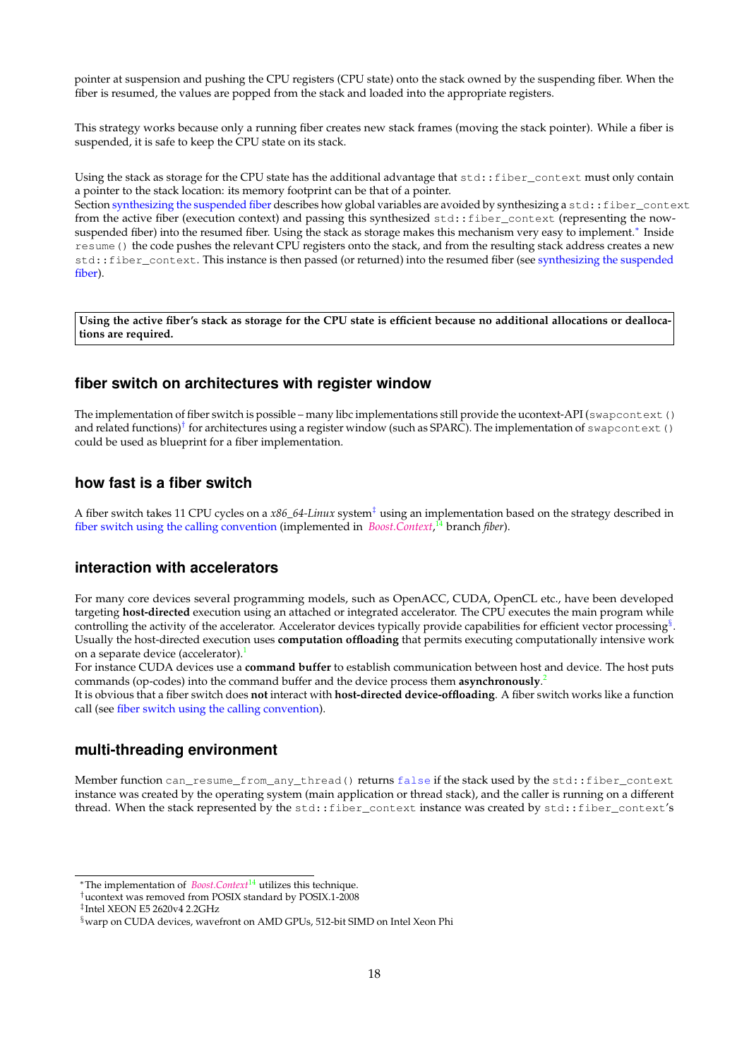pointer at suspension and pushing the CPU registers (CPU state) onto the stack owned by the suspending fiber. When the fiber is resumed, the values are popped from the stack and loaded into the appropriate registers.

This strategy works because only a running fiber creates new stack frames (moving the stack pointer). While a fiber is suspended, it is safe to keep the CPU state on its stack.

Using the stack as storage for the CPU state has the additional advantage that std::fiber\_context must only contain a pointer to the stack location: its memory footprint can be that of a pointer.

Section [synthesizing the suspended fiber](#page-5-2) describes how global variables are avoided by synthesizing a std::fiber\_context from the active fiber (execution context) and passing this synthesized std::fiber\_context (representing the now-suspended fiber) into the resumed fiber. Using the stack as storage makes this mechanism very easy to implement.<sup>[∗](#page-17-4)</sup> Inside resume() the code pushes the relevant CPU registers onto the stack, and from the resulting stack address creates a new std::fiber\_context. This instance is then passed (or returned) into the resumed fiber (see [synthesizing the suspended](#page-5-2) [fiber\)](#page-5-2).

**Using the active fiber's stack as storage for the CPU state is efficient because no additional allocations or deallocations are required.**

## <span id="page-17-0"></span>**fiber switch on architectures with register window**

The implementation of fiber switch is possible – many libc implementations still provide the ucontext-API (swapcontext() and related functions)<sup>[†](#page-17-5)</sup> for architectures using a register window (such as SPARC). The implementation of swapcontext () could be used as blueprint for a fiber implementation.

## <span id="page-17-1"></span>**how fast is a fiber switch**

A fiber switch takes 11 CPU cycles on a *x86\_64-Linux* system[‡](#page-17-6) using an implementation based on the strategy described in [fiber switch using the calling convention](#page-16-1) (implemented in *[Boost.Context](http://www.boost.org/doc/libs/release/libs/context/doc/html/index.html)*, [14](#page-25-9) branch *fiber*).

## <span id="page-17-2"></span>**interaction with accelerators**

For many core devices several programming models, such as OpenACC, CUDA, OpenCL etc., have been developed targeting **host-directed** execution using an attached or integrated accelerator. The CPU executes the main program while controlling the activity of the accelerator. Accelerator devices typically provide capabilities for efficient vector processing<sup>[§](#page-17-7)</sup>. Usually the host-directed execution uses **computation offloading** that permits executing computationally intensive work on a separate device (accelerator).<sup>[1](#page-25-17)</sup>

For instance CUDA devices use a **command buffer** to establish communication between host and device. The host puts commands (op-codes) into the command buffer and the device process them **asynchronously**. [2](#page-25-18)

It is obvious that a fiber switch does **not** interact with **host-directed device-offloading**. A fiber switch works like a function call (see [fiber switch using the calling convention\)](#page-16-1).

## <span id="page-17-3"></span>**multi-threading environment**

Member function can\_resume\_from\_any\_thread() returns false if the stack used by the std::fiber\_context instance was created by the operating system (main application or thread stack), and the caller is running on a different thread. When the stack represented by the std::fiber\_context instance was created by std::fiber\_context's

<span id="page-17-4"></span><sup>∗</sup>The implementation of *[Boost.Context](http://www.boost.org/doc/libs/release/libs/context/doc/html/index.html)*[14](#page-25-9) utilizes this technique.

<span id="page-17-5"></span><sup>†</sup>ucontext was removed from POSIX standard by POSIX.1-2008

<span id="page-17-6"></span><sup>‡</sup> Intel XEON E5 2620v4 2.2GHz

<span id="page-17-7"></span><sup>§</sup>warp on CUDA devices, wavefront on AMD GPUs, 512-bit SIMD on Intel Xeon Phi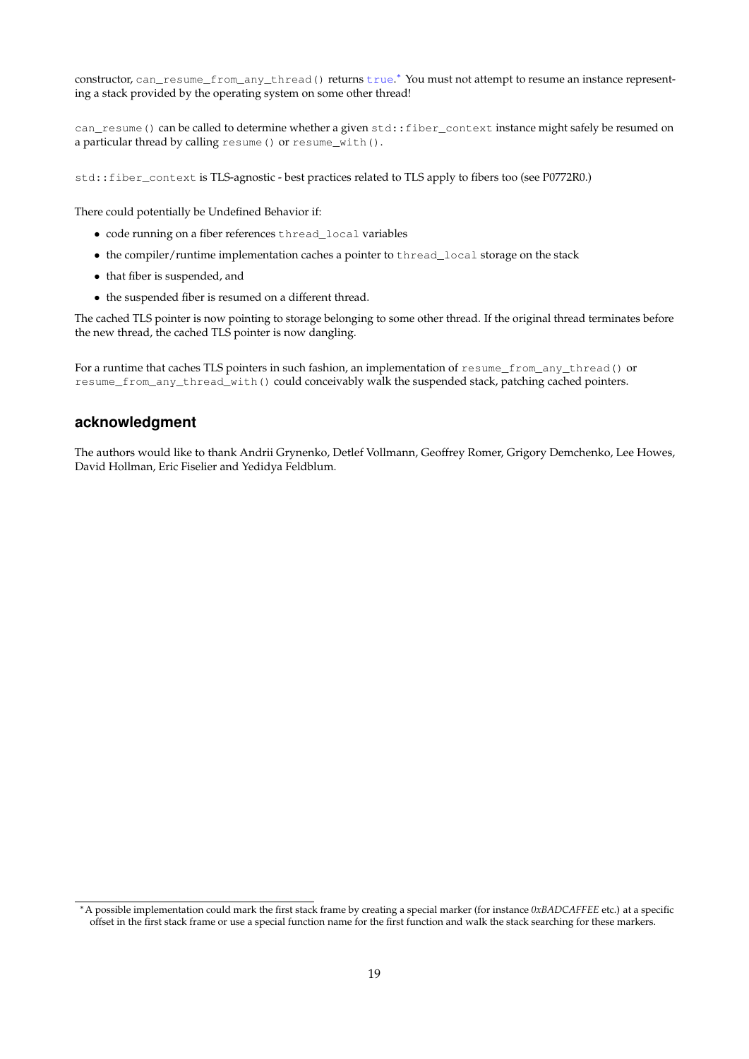constructor, can\_resume\_from\_any\_thread() returns true.\* You must not attempt to resume an instance representing a stack provided by the operating system on some other thread!

can\_resume() can be called to determine whether a given std::fiber\_context instance might safely be resumed on a particular thread by calling resume() or resume\_with().

std::fiber\_context is TLS-agnostic - best practices related to TLS apply to fibers too (see P0772R0.)

There could potentially be Undefined Behavior if:

- code running on a fiber references thread\_local variables
- the compiler/runtime implementation caches a pointer to thread\_local storage on the stack
- that fiber is suspended, and
- the suspended fiber is resumed on a different thread.

The cached TLS pointer is now pointing to storage belonging to some other thread. If the original thread terminates before the new thread, the cached TLS pointer is now dangling.

For a runtime that caches TLS pointers in such fashion, an implementation of resume\_from\_any\_thread() or resume\_from\_any\_thread\_with() could conceivably walk the suspended stack, patching cached pointers.

## <span id="page-18-0"></span>**acknowledgment**

The authors would like to thank Andrii Grynenko, Detlef Vollmann, Geoffrey Romer, Grigory Demchenko, Lee Howes, David Hollman, Eric Fiselier and Yedidya Feldblum.

<span id="page-18-1"></span><sup>∗</sup>A possible implementation could mark the first stack frame by creating a special marker (for instance *0xBADCAFFEE* etc.) at a specific offset in the first stack frame or use a special function name for the first function and walk the stack searching for these markers.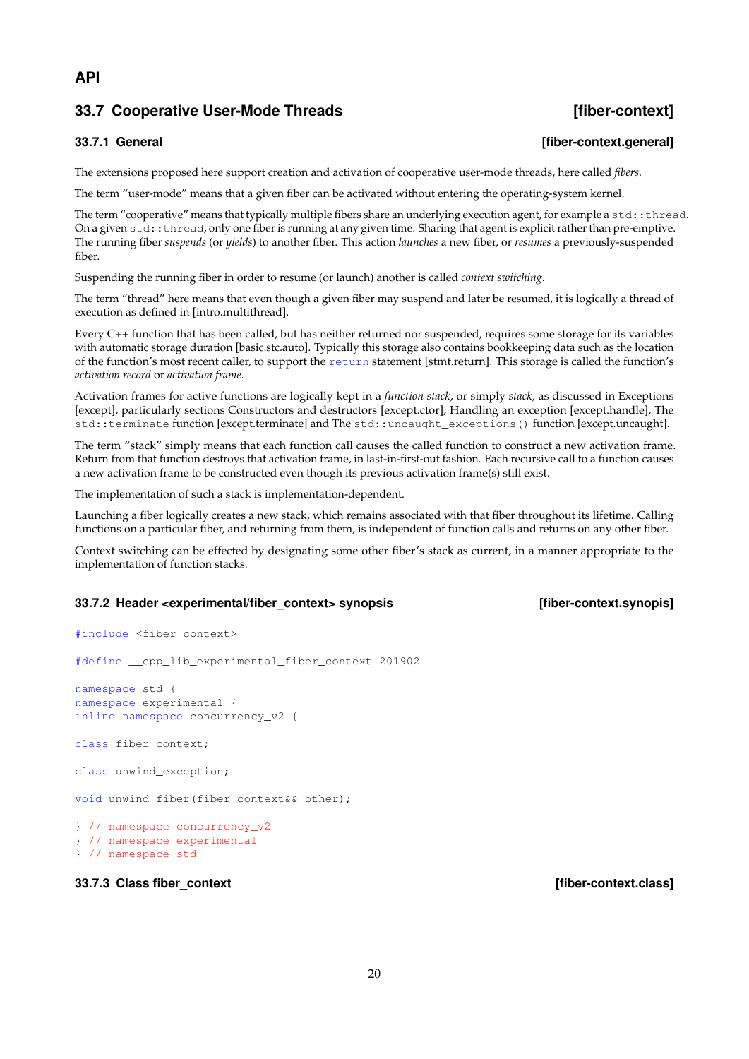## **API**

## <span id="page-19-0"></span>**33.7 Cooperative User-Mode Threads [fiber-context]**

## <span id="page-19-1"></span>**33.7.1 General [fiber-context.general]**

The extensions proposed here support creation and activation of cooperative user-mode threads, here called *fibers*.

The term "user-mode" means that a given fiber can be activated without entering the operating-system kernel.

The term "cooperative" means that typically multiple fibers share an underlying execution agent, for example a  $std$ :  $:t$ hread. On a given std::thread, only one fiber is running at any given time. Sharing that agent is explicit rather than pre-emptive. The running fiber *suspends* (or *yields*) to another fiber. This action *launches* a new fiber, or *resumes* a previously-suspended fiber.

Suspending the running fiber in order to resume (or launch) another is called *context switching*.

The term "thread" here means that even though a given fiber may suspend and later be resumed, it is logically a thread of execution as defined in [intro.multithread].

Every C++ function that has been called, but has neither returned nor suspended, requires some storage for its variables with automatic storage duration [basic.stc.auto]. Typically this storage also contains bookkeeping data such as the location of the function's most recent caller, to support the return statement [stmt.return]. This storage is called the function's *activation record* or *activation frame*.

Activation frames for active functions are logically kept in a *function stack*, or simply *stack*, as discussed in Exceptions [except], particularly sections Constructors and destructors [except.ctor], Handling an exception [except.handle], The std::terminate function [except.terminate] and The std::uncaught\_exceptions() function [except.uncaught].

The term "stack" simply means that each function call causes the called function to construct a new activation frame. Return from that function destroys that activation frame, in last-in-first-out fashion. Each recursive call to a function causes a new activation frame to be constructed even though its previous activation frame(s) still exist.

The implementation of such a stack is implementation-dependent.

Launching a fiber logically creates a new stack, which remains associated with that fiber throughout its lifetime. Calling functions on a particular fiber, and returning from them, is independent of function calls and returns on any other fiber.

Context switching can be effected by designating some other fiber's stack as current, in a manner appropriate to the implementation of function stacks.

## <span id="page-19-2"></span>**33.7.2 Header <experimental/fiber\_context> synopsis [fiber-context.synopis]**

```
#include <fiber_context>
```
#define \_\_cpp\_lib\_experimental\_fiber\_context 201902

namespace std { namespace experimental { inline namespace concurrency\_v2 {

class fiber\_context;

```
class unwind_exception;
```
void unwind\_fiber(fiber\_context&& other);

} // namespace concurrency\_v2 } // namespace experimental } // namespace std

## <span id="page-19-3"></span>**33.7.3 Class fiber\_context intervalse in the set of the set of the set of the set of the set of the set of the set of the set of the set of the set of the set of the set of the set of the set of the set of the set of t**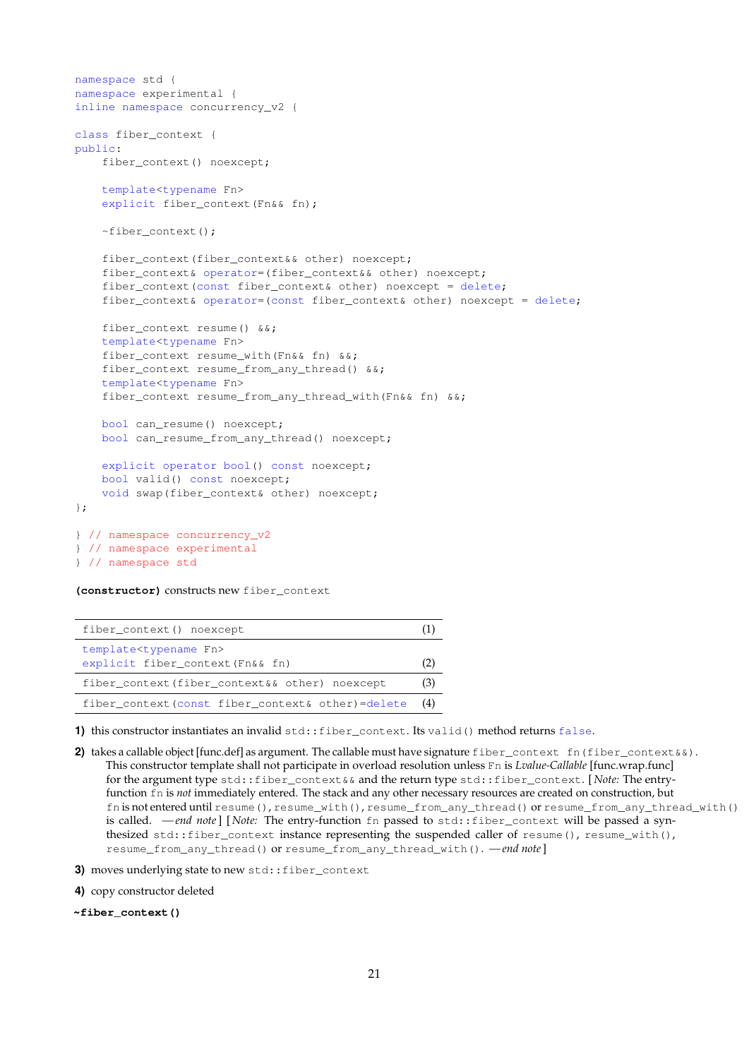```
namespace std {
namespace experimental {
inline namespace concurrency_v2 {
class fiber_context {
public:
   fiber context() noexcept;
   template<typename Fn>
   explicit fiber_context(Fn&& fn);
   ~fiber_context();
   fiber_context(fiber_context&& other) noexcept;
   fiber context& operator=(fiber context&& other) noexcept;
   fiber context(const fiber context& other) noexcept = delete;
   fiber_context& operator=(const fiber_context& other) noexcept = delete;
   fiber_context resume() &&;
   template<typename Fn>
    fiber_context resume_with(Fn&& fn) &&;
   fiber_context resume_from_any_thread() &&;
   template<typename Fn>
   fiber_context resume_from_any_thread_with(Fn&& fn) &&;
   bool can_resume() noexcept;
   bool can_resume_from_any_thread() noexcept;
   explicit operator bool() const noexcept;
   bool valid() const noexcept;
   void swap(fiber_context& other) noexcept;
};
} // namespace concurrency_v2
} // namespace experimental
} // namespace std
```
### **(constructor)** constructs new fiber\_context

| fiber_context() noexcept                                                         |     |
|----------------------------------------------------------------------------------|-----|
| template <typename fn=""><br/>explicit fiber_context(Fn&amp;&amp; fn)</typename> |     |
| fiber_context(fiber_context&& other) noexcept                                    | (3) |
| fiber context (const fiber context& other)=delete                                | (4) |

**1)** this constructor instantiates an invalid std::fiber\_context. Its valid() method returns false.

**2)** takes a callable object [func.def] as argument. The callable must have signature fiber\_context fn(fiber\_context&&). This constructor template shall not participate in overload resolution unless Fn is *Lvalue-Callable* [func.wrap.func] for the argument type std::fiber\_context&& and the return type std::fiber\_context. [ *Note:* The entryfunction fn is *not* immediately entered. The stack and any other necessary resources are created on construction, but fn is not entered until resume(), resume\_with(), resume\_from\_any\_thread() or resume\_from\_any\_thread\_with() is called. *— end note* | [*Note:* The entry-function fn passed to std::fiber\_context will be passed a synthesized std::fiber\_context instance representing the suspended caller of resume(), resume\_with(), resume\_from\_any\_thread() or resume\_from\_any\_thread\_with(). *— end note*]

**3)** moves underlying state to new std::fiber\_context

**4)** copy constructor deleted

**~fiber\_context()**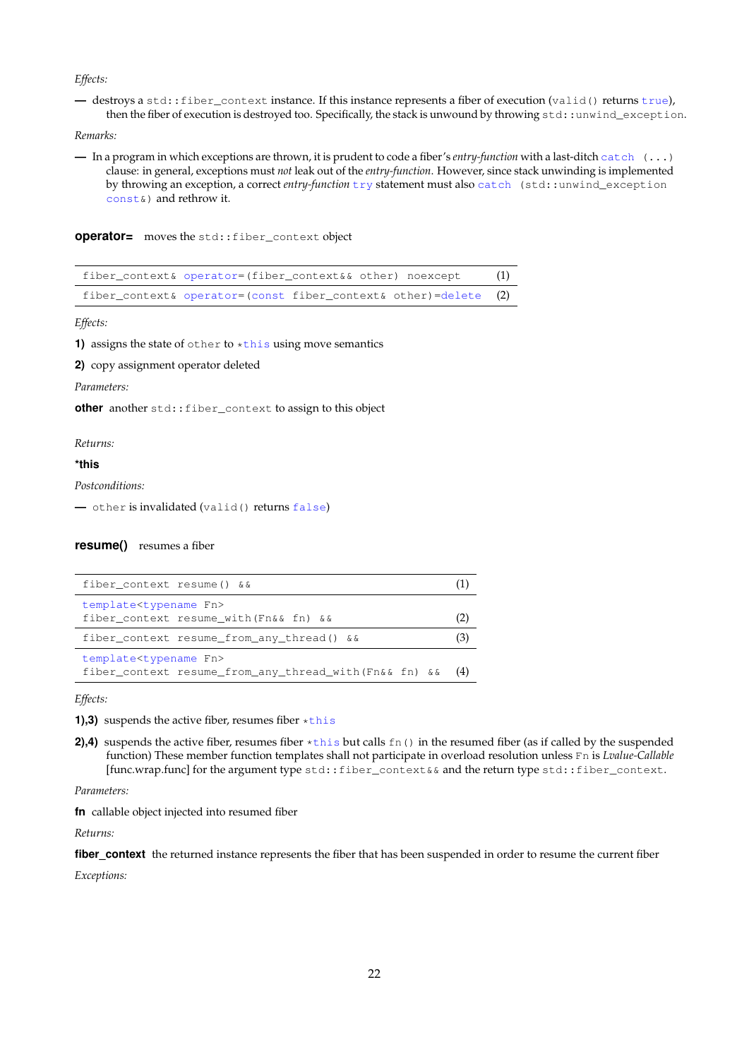### *Effects:*

**—** destroys a std::fiber\_context instance. If this instance represents a fiber of execution (valid() returns true), then the fiber of execution is destroyed too. Specifically, the stack is unwound by throwing std::unwind\_exception.

### *Remarks:*

**—** In a program in which exceptions are thrown, it is prudent to code a fiber's *entry-function* with a last-ditch catch (...) clause: in general, exceptions must *not* leak out of the *entry-function*. However, since stack unwinding is implemented by throwing an exception, a correct *entry-function* try statement must also catch (std::unwind\_exception const&) and rethrow it.

**operator=** moves the std::fiber\_context object

| fiber_context& operator=(fiber_context&& other) noexcept        | (1) |
|-----------------------------------------------------------------|-----|
| fiber_context& operator=(const fiber_context& other)=delete (2) |     |

*Effects:*

**1)** assigns the state of other to  $\star$ this using move semantics

**2)** copy assignment operator deleted

*Parameters:*

**other** another std::fiber\_context to assign to this object

*Returns:*

### **\*this**

*Postconditions:*

**—** other is invalidated (valid() returns false)

### **resume()** resumes a fiber

| fiber context resume() & &                             |     |
|--------------------------------------------------------|-----|
| template <typename fn=""></typename>                   |     |
| fiber context resume with (Fn&& fn) &&                 |     |
| fiber_context_resume_from_any_thread() &&              | [3] |
| template <typename fn=""></typename>                   |     |
| fiber_context_resume_from_any_thread_with(Fn&&_fn) & & | (4) |

*Effects:*

**1),3)** suspends the active fiber, resumes fiber \*this

**2),4)** suspends the active fiber, resumes fiber  $\star$ this but calls fn() in the resumed fiber (as if called by the suspended function) These member function templates shall not participate in overload resolution unless Fn is *Lvalue-Callable* [func.wrap.func] for the argument type std::fiber\_context&& and the return type std::fiber\_context.

*Parameters:*

**fn** callable object injected into resumed fiber

*Returns:*

fiber context the returned instance represents the fiber that has been suspended in order to resume the current fiber

*Exceptions:*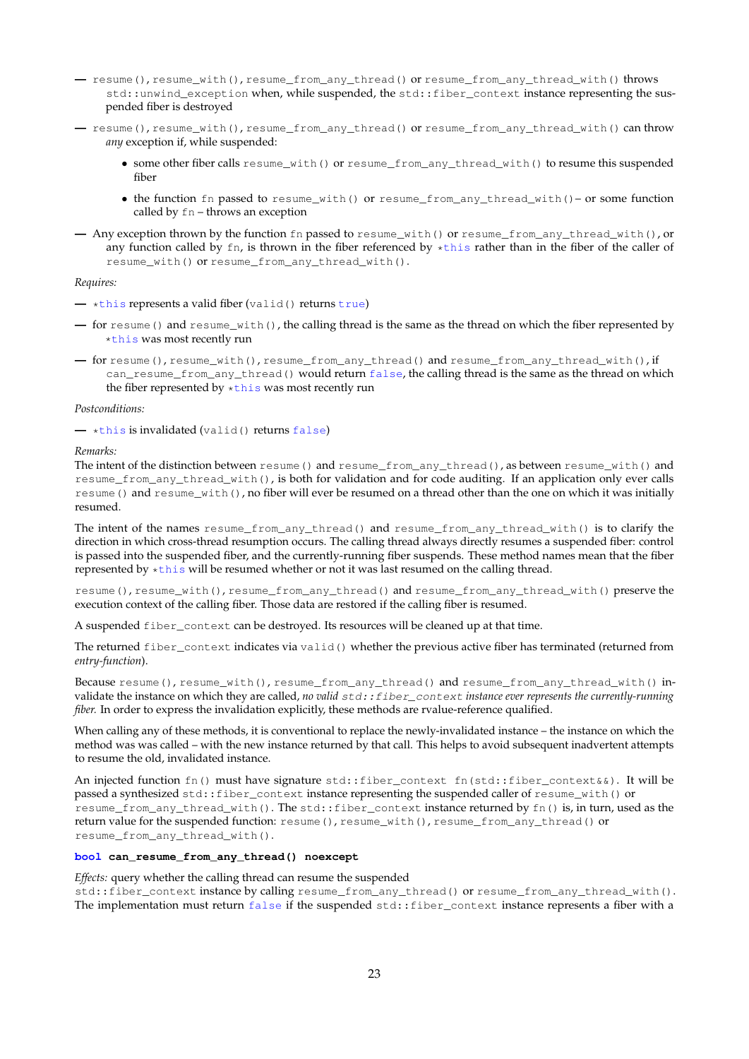- **—** resume(), resume\_with(), resume\_from\_any\_thread() or resume\_from\_any\_thread\_with() throws std::unwind\_exception when, while suspended, the std::fiber\_context instance representing the suspended fiber is destroyed
- **—** resume(), resume\_with(), resume\_from\_any\_thread() or resume\_from\_any\_thread\_with() can throw *any* exception if, while suspended:
	- some other fiber calls resume\_with() or resume\_from\_any\_thread\_with() to resume this suspended fiber
	- the function fn passed to resume\_with() or resume\_from\_any\_thread\_with()– or some function called by fn – throws an exception
- **—** Any exception thrown by the function fn passed to resume\_with() or resume\_from\_any\_thread\_with(), or any function called by  $fn$ , is thrown in the fiber referenced by  $\star$ this rather than in the fiber of the caller of resume\_with() or resume\_from\_any\_thread\_with().

### *Requires:*

- **—** \*this represents a valid fiber (valid() returns true)
- **—** for resume() and resume\_with(), the calling thread is the same as the thread on which the fiber represented by \*this was most recently run
- **—** for resume(), resume\_with(), resume\_from\_any\_thread() and resume\_from\_any\_thread\_with(), if can\_resume\_from\_any\_thread() would return false, the calling thread is the same as the thread on which the fiber represented by \*this was most recently run

### *Postconditions:*

**—** \*this is invalidated (valid() returns false)

### *Remarks:*

The intent of the distinction between resume() and resume\_from\_any\_thread(), as between resume\_with() and resume\_from\_any\_thread\_with(), is both for validation and for code auditing. If an application only ever calls resume() and resume\_with(), no fiber will ever be resumed on a thread other than the one on which it was initially resumed.

The intent of the names resume\_from\_any\_thread() and resume\_from\_any\_thread\_with() is to clarify the direction in which cross-thread resumption occurs. The calling thread always directly resumes a suspended fiber: control is passed into the suspended fiber, and the currently-running fiber suspends. These method names mean that the fiber represented by \*this will be resumed whether or not it was last resumed on the calling thread.

resume(), resume\_with(), resume\_from\_any\_thread() and resume\_from\_any\_thread\_with() preserve the execution context of the calling fiber. Those data are restored if the calling fiber is resumed.

A suspended fiber\_context can be destroyed. Its resources will be cleaned up at that time.

The returned fiber\_context indicates via valid() whether the previous active fiber has terminated (returned from *entry-function*).

Because resume(), resume\_with(), resume\_from\_any\_thread() and resume\_from\_any\_thread\_with() invalidate the instance on which they are called, *no valid*  $std::fiber\_context$  *instance ever represents the currently-running fiber.* In order to express the invalidation explicitly, these methods are rvalue-reference qualified.

When calling any of these methods, it is conventional to replace the newly-invalidated instance – the instance on which the method was was called – with the new instance returned by that call. This helps to avoid subsequent inadvertent attempts to resume the old, invalidated instance.

An injected function fn() must have signature std::fiber\_context\_fn(std::fiber\_context&&). It will be passed a synthesized std::fiber\_context instance representing the suspended caller of resume\_with() or resume\_from\_any\_thread\_with(). The std::fiber\_context instance returned by fn() is, in turn, used as the return value for the suspended function: resume(), resume\_with(), resume\_from\_any\_thread() or resume\_from\_any\_thread\_with().

### **bool can\_resume\_from\_any\_thread() noexcept**

*Effects:* query whether the calling thread can resume the suspended

std::fiber\_context instance by calling resume\_from\_any\_thread() or resume\_from\_any\_thread\_with(). The implementation must return false if the suspended std::fiber\_context instance represents a fiber with a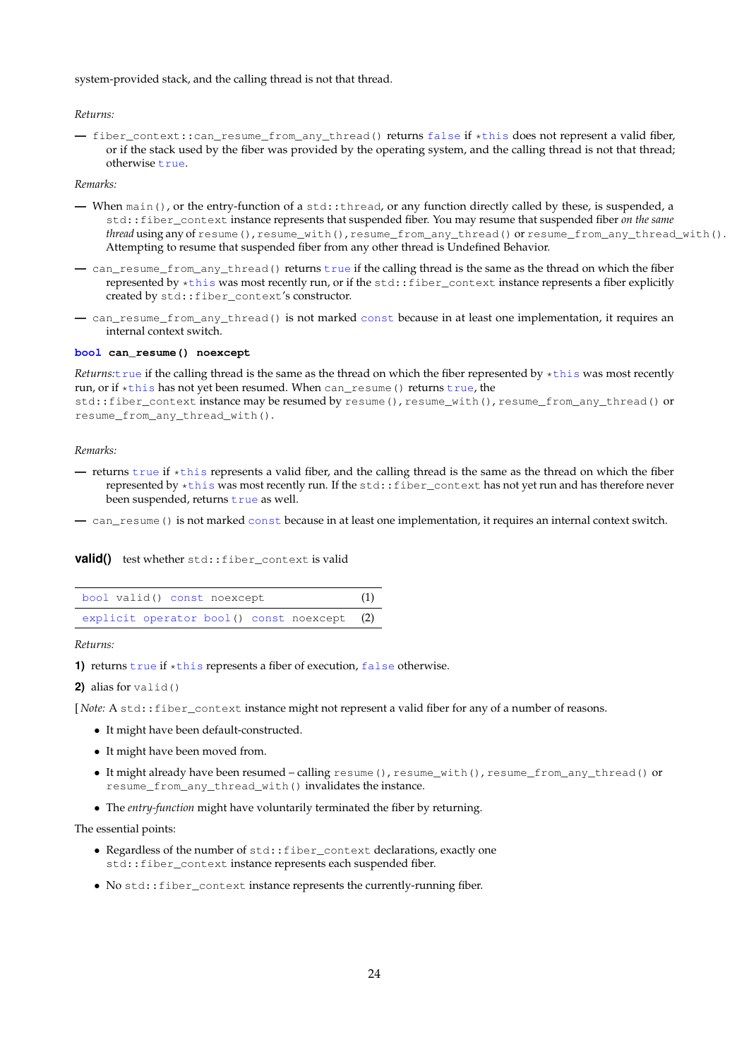system-provided stack, and the calling thread is not that thread.

*Returns:*

**—** fiber\_context::can\_resume\_from\_any\_thread() returns false if \*this does not represent a valid fiber, or if the stack used by the fiber was provided by the operating system, and the calling thread is not that thread; otherwise true.

*Remarks:*

- **—** When main(), or the entry-function of a std::thread, or any function directly called by these, is suspended, a std::fiber\_context instance represents that suspended fiber. You may resume that suspended fiber *on the same thread* using any of resume(), resume\_with(), resume\_from\_any\_thread() or resume\_from\_any\_thread\_with(). Attempting to resume that suspended fiber from any other thread is Undefined Behavior.
- **—** can\_resume\_from\_any\_thread() returns true if the calling thread is the same as the thread on which the fiber represented by \*this was most recently run, or if the std::fiber\_context instance represents a fiber explicitly created by std::fiber\_context's constructor.
- **—** can\_resume\_from\_any\_thread() is not marked const because in at least one implementation, it requires an internal context switch.

### **bool can\_resume() noexcept**

*Returns:*true if the calling thread is the same as the thread on which the fiber represented by \*this was most recently run, or if \*this has not yet been resumed. When can\_resume() returns true, the

std::fiber\_context instance may be resumed by resume(), resume\_with(), resume\_from\_any\_thread() or resume\_from\_any\_thread\_with().

### *Remarks:*

**—** returns true if \*this represents a valid fiber, and the calling thread is the same as the thread on which the fiber represented by \*this was most recently run. If the std::fiber\_context has not yet run and has therefore never been suspended, returns true as well.

**—** can\_resume() is not marked const because in at least one implementation, it requires an internal context switch.

### **valid()** test whether std::fiber\_context is valid

| bool valid() const noexcept                 |  |  |
|---------------------------------------------|--|--|
| explicit operator bool() const noexcept (2) |  |  |

*Returns:*

1) returns true if \*this represents a fiber of execution, false otherwise.

**2)** alias for valid()

[*Note:* A std::fiber\_context instance might not represent a valid fiber for any of a number of reasons.

- It might have been default-constructed.
- It might have been moved from.
- It might already have been resumed calling resume(), resume\_with(), resume\_from\_any\_thread() or resume\_from\_any\_thread\_with() invalidates the instance.
- The *entry-function* might have voluntarily terminated the fiber by returning.

The essential points:

- Regardless of the number of std:: fiber\_context declarations, exactly one std::fiber\_context instance represents each suspended fiber.
- No std::fiber\_context instance represents the currently-running fiber.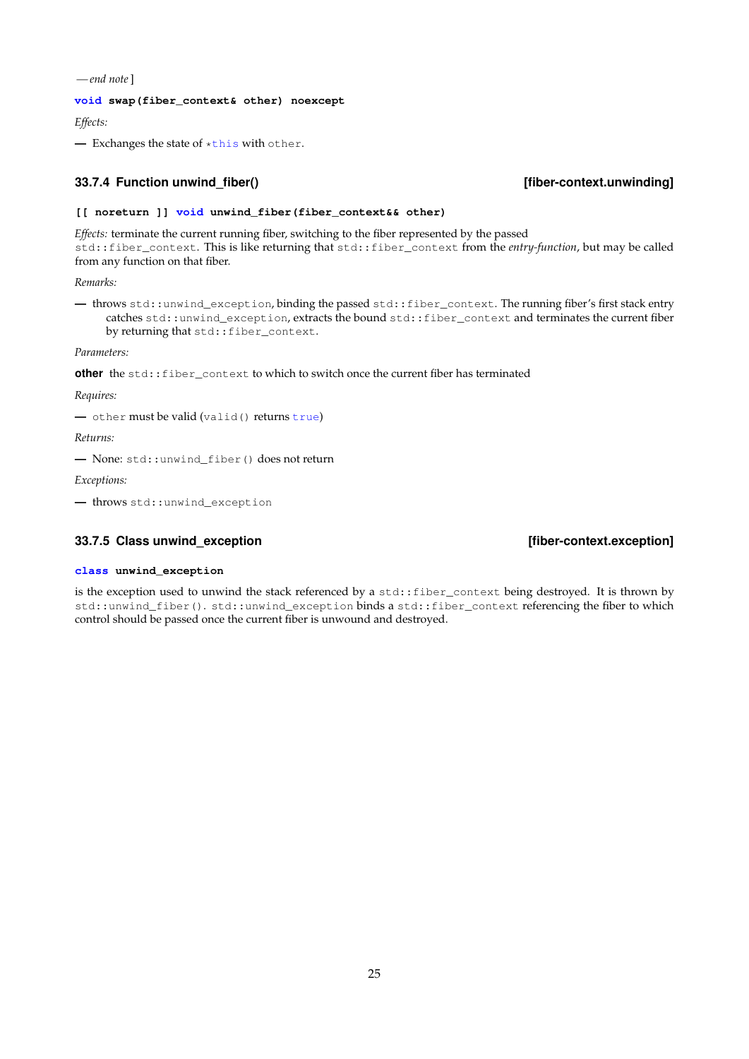*— end note*]

### **void swap(fiber\_context& other) noexcept**

*Effects:*

**—** Exchanges the state of \*this with other.

### <span id="page-24-0"></span>**33.7.4 Function unwind\_fiber() [fiber-context.unwinding]**

### **[[ noreturn ]] void unwind\_fiber(fiber\_context&& other)**

*Effects:* terminate the current running fiber, switching to the fiber represented by the passed std::fiber\_context. This is like returning that std::fiber\_context from the *entry-function*, but may be called from any function on that fiber.

*Remarks:*

**—** throws std::unwind\_exception, binding the passed std::fiber\_context. The running fiber's first stack entry catches std::unwind\_exception, extracts the bound std::fiber\_context and terminates the current fiber by returning that std:: fiber\_context.

*Parameters:*

**other** the std::fiber\_context to which to switch once the current fiber has terminated

*Requires:*

**—** other must be valid (valid() returns true)

*Returns:*

**—** None: std::unwind\_fiber() does not return

*Exceptions:*

**—** throws std::unwind\_exception

### <span id="page-24-1"></span>**33.7.5 Class unwind\_exception [fiber-context.exception]**

### **class unwind\_exception**

is the exception used to unwind the stack referenced by a std::fiber\_context being destroyed. It is thrown by std::unwind\_fiber(). std::unwind\_exception binds a std::fiber\_context referencing the fiber to which control should be passed once the current fiber is unwound and destroyed.